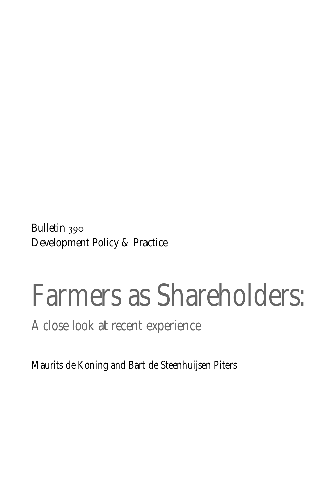Bulletin 390 Development Policy & Practice

# Farmers as Shareholders:

A close look at recent experience

Maurits de Koning and Bart de Steenhuijsen Piters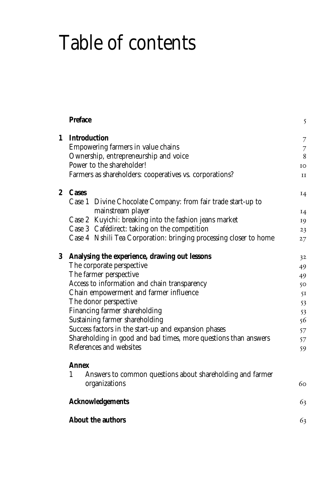## Table of contents

|                  | Preface                                                                         | 5              |  |  |
|------------------|---------------------------------------------------------------------------------|----------------|--|--|
| 1                | <b>Introduction</b>                                                             | $\overline{7}$ |  |  |
|                  | Empowering farmers in value chains                                              | 7              |  |  |
|                  | Ownership, entrepreneurship and voice                                           | 8              |  |  |
|                  | Power to the shareholder!                                                       | IO             |  |  |
|                  | Farmers as shareholders: cooperatives vs. corporations?                         | $_{II}$        |  |  |
| $\boldsymbol{2}$ | <b>Cases</b>                                                                    | I <sub>4</sub> |  |  |
|                  | Case 1 Divine Chocolate Company: from fair trade start-up to                    |                |  |  |
|                  | mainstream player                                                               | I4             |  |  |
|                  | Case 2 Kuyichi: breaking into the fashion jeans market                          | 19             |  |  |
|                  | Case 3 Cafédirect: taking on the competition                                    | 23             |  |  |
|                  | Case 4 Nshili Tea Corporation: bringing processing closer to home               | 27             |  |  |
|                  | 3 Analysing the experience, drawing out lessons                                 | 32             |  |  |
|                  | The corporate perspective                                                       | 49             |  |  |
|                  | The farmer perspective                                                          | 49             |  |  |
|                  | Access to information and chain transparency                                    | 50             |  |  |
|                  | Chain empowerment and farmer influence                                          |                |  |  |
|                  | The donor perspective                                                           |                |  |  |
|                  | Financing farmer shareholding                                                   |                |  |  |
|                  | Sustaining farmer shareholding                                                  |                |  |  |
|                  | Success factors in the start-up and expansion phases                            |                |  |  |
|                  | Shareholding in good and bad times, more questions than answers                 |                |  |  |
|                  | References and websites                                                         |                |  |  |
|                  | Annex                                                                           |                |  |  |
|                  | 1<br>Answers to common questions about shareholding and farmer<br>organizations | 60             |  |  |
|                  | <b>Acknowledgements</b>                                                         | 63             |  |  |
|                  | About the authors                                                               | 63             |  |  |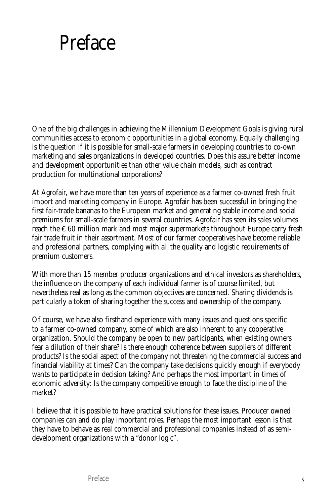## **Preface**

One of the big challenges in achieving the Millennium Development Goals is giving rural communities access to economic opportunities in a global economy. Equally challenging is the question if it is possible for small-scale farmers in developing countries to co-own marketing and sales organizations in developed countries. Does this assure better income and development opportunities than other value chain models, such as contract production for multinational corporations?

At Agrofair, we have more than ten years of experience as a farmer co-owned fresh fruit import and marketing company in Europe. Agrofair has been successful in bringing the first fair-trade bananas to the European market and generating stable income and social premiums for small-scale farmers in several countries. Agrofair has seen its sales volumes reach the  $\epsilon$ 60 million mark and most major supermarkets throughout Europe carry fresh fair trade fruit in their assortment. Most of our farmer cooperatives have become reliable and professional partners, complying with all the quality and logistic requirements of premium customers.

With more than 15 member producer organizations and ethical investors as shareholders, the influence on the company of each individual farmer is of course limited, but nevertheless real as long as the common objectives are concerned. Sharing dividends is particularly a token of sharing together the success and ownership of the company.

Of course, we have also firsthand experience with many issues and questions specific to a farmer co-owned company, some of which are also inherent to any cooperative organization. Should the company be open to new participants, when existing owners fear a dilution of their share? Is there enough coherence between suppliers of different products? Is the social aspect of the company not threatening the commercial success and financial viability at times? Can the company take decisions quickly enough if everybody wants to participate in decision taking? And perhaps the most important in times of economic adversity: Is the company competitive enough to face the discipline of the market?

I believe that it is possible to have practical solutions for these issues. Producer owned companies can and do play important roles. Perhaps the most important lesson is that they have to behave as real commercial and professional companies instead of as semidevelopment organizations with a "donor logic".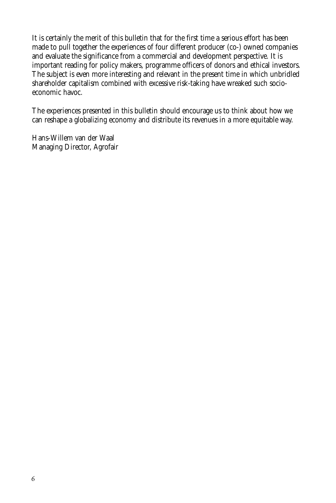It is certainly the merit of this bulletin that for the first time a serious effort has been made to pull together the experiences of four different producer (co-) owned companies and evaluate the significance from a commercial and development perspective. It is important reading for policy makers, programme officers of donors and ethical investors. The subject is even more interesting and relevant in the present time in which unbridled shareholder capitalism combined with excessive risk-taking have wreaked such socioeconomic havoc.

The experiences presented in this bulletin should encourage us to think about how we can reshape a globalizing economy and distribute its revenues in a more equitable way.

Hans-Willem van der Waal Managing Director, Agrofair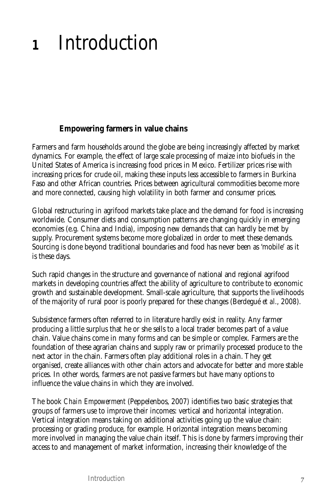## **<sup>1</sup>** Introduction

## **Empowering farmers in value chains**

Farmers and farm households around the globe are being increasingly affected by market dynamics. For example, the effect of large scale processing of maize into biofuels in the United States of America is increasing food prices in Mexico. Fertilizer prices rise with increasing prices for crude oil, making these inputs less accessible to farmers in Burkina Faso and other African countries. Prices between agricultural commodities become more and more connected, causing high volatility in both farmer and consumer prices.

Global restructuring in agrifood markets take place and the demand for food is increasing worldwide. Consumer diets and consumption patterns are changing quickly in emerging economies (e.g. China and India), imposing new demands that can hardly be met by supply. Procurement systems become more globalized in order to meet these demands. Sourcing is done beyond traditional boundaries and food has never been as 'mobile' as it is these days.

Such rapid changes in the structure and governance of national and regional agrifood markets in developing countries affect the ability of agriculture to contribute to economic growth and sustainable development. Small-scale agriculture, that supports the livelihoods of the majority of rural poor is poorly prepared for these changes (Berdegué *et al.*, 2008).

Subsistence farmers often referred to in literature hardly exist in reality. Any farmer producing a little surplus that he or she sells to a local trader becomes part of a value chain. Value chains come in many forms and can be simple or complex. Farmers are the foundation of these agrarian chains and supply raw or primarily processed produce to the next actor in the chain. Farmers often play additional roles in a chain. They get organised, create alliances with other chain actors and advocate for better and more stable prices. In other words, farmers are not passive farmers but have many options to influence the value chains in which they are involved.

The book *Chain Empowerment* (Peppelenbos, 2007) identifies two basic strategies that groups of farmers use to improve their incomes: vertical and horizontal integration. Vertical integration means taking on additional activities going up the value chain: processing or grading produce, for example. Horizontal integration means becoming more involved in managing the value chain itself. This is done by farmers improving their access to and management of market information, increasing their knowledge of the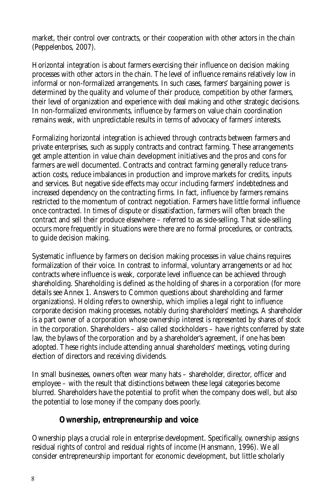market, their control over contracts, or their cooperation with other actors in the chain (Peppelenbos, 2007).

Horizontal integration is about farmers exercising their influence on decision making processes with other actors in the chain. The level of influence remains relatively low in informal or non-formalized arrangements. In such cases, farmers' bargaining power is determined by the quality and volume of their produce, competition by other farmers, their level of organization and experience with deal making and other strategic decisions. In non-formalized environments, influence by farmers on value chain coordination remains weak, with unpredictable results in terms of advocacy of farmers' interests.

Formalizing horizontal integration is achieved through contracts between farmers and private enterprises, such as supply contracts and contract farming. These arrangements get ample attention in value chain development initiatives and the pros and cons for farmers are well documented. Contracts and contract farming generally reduce transaction costs, reduce imbalances in production and improve markets for credits, inputs and services. But negative side effects may occur including farmers' indebtedness and increased dependency on the contracting firms. In fact, influence by farmers remains restricted to the momentum of contract negotiation. Farmers have little formal influence once contracted. In times of dispute or dissatisfaction, farmers will often breach the contract and sell their produce elsewhere – referred to as side-selling. That side-selling occurs more frequently in situations were there are no formal procedures, or contracts, to guide decision making.

Systematic influence by farmers on decision making processes in value chains requires formalization of their voice. In contrast to informal, voluntary arrangements or *ad hoc* contracts where influence is weak, corporate level influence can be achieved through shareholding. Shareholding is defined as the holding of shares in a corporation (for more details see Annex 1. Answers to Common questions about shareholding and farmer organizations). Holding refers to ownership, which implies a legal right to influence corporate decision making processes, notably during shareholders' meetings. A shareholder is a part owner of a corporation whose ownership interest is represented by shares of stock in the corporation. Shareholders – also called stockholders – have rights conferred by state law, the bylaws of the corporation and by a shareholder's agreement, if one has been adopted. These rights include attending annual shareholders' meetings, voting during election of directors and receiving dividends.

In small businesses, owners often wear many hats – shareholder, director, officer and employee – with the result that distinctions between these legal categories become blurred. Shareholders have the potential to profit when the company does well, but also the potential to lose money if the company does poorly.

## **Ownership, entrepreneurship and voice**

Ownership plays a crucial role in enterprise development. Specifically, ownership assigns residual rights of control and residual rights of income (Hansmann, 1996). We all consider entrepreneurship important for economic development, but little scholarly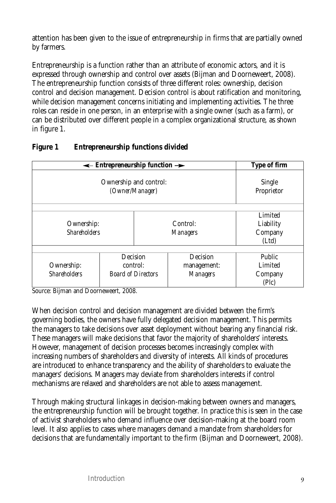attention has been given to the issue of entrepreneurship in firms that are partially owned by farmers.

Entrepreneurship is a function rather than an attribute of economic actors, and it is expressed through ownership and control over assets (Bijman and Doorneweert, 2008). The entrepreneurship function consists of three different roles: ownership, decision control and decision management. Decision control is about ratification and monitoring, while decision management concerns initiating and implementing activities. The three roles can reside in one person, in an enterprise with a single owner (such as a farm), or can be distributed over different people in a complex organizational structure, as shown in figure 1.

|                                                  | $\leftarrow$ Entrepreneurship function $\rightarrow$ |                 |                      | Type of firm |  |
|--------------------------------------------------|------------------------------------------------------|-----------------|----------------------|--------------|--|
| Ownership and control:<br>(Owner/Manager)        |                                                      |                 | Single<br>Proprietor |              |  |
|                                                  |                                                      |                 |                      |              |  |
|                                                  |                                                      |                 |                      | Limited      |  |
| Ownership:                                       |                                                      |                 | Control:             | Liability    |  |
| <b>Shareholders</b>                              |                                                      | <i>Managers</i> |                      | Company      |  |
|                                                  |                                                      |                 |                      | (Ltd)        |  |
|                                                  |                                                      |                 |                      |              |  |
| Decision                                         |                                                      |                 | Decision             | Public       |  |
| Ownership:                                       | control:                                             |                 | management:          | Limited      |  |
| <b>Shareholders</b><br><b>Board of Directors</b> |                                                      |                 | <b>Managers</b>      | Company      |  |
|                                                  |                                                      |                 |                      | (Plc)        |  |

### **Figure 1 Entrepreneurship functions divided**

Source: Bijman and Doorneweert, 2008.

When decision control and decision management are divided between the firm's governing bodies, the owners have fully delegated decision management. This permits the managers to take decisions over asset deployment without bearing any financial risk. These managers will make decisions that favor the majority of shareholders' interests. However, management of decision processes becomes increasingly complex with increasing numbers of shareholders and diversity of interests. All kinds of procedures are introduced to enhance transparency and the ability of shareholders to evaluate the managers' decisions. Managers may deviate from shareholders interests if control mechanisms are relaxed and shareholders are not able to assess management.

Through making structural linkages in decision-making between owners and managers, the entrepreneurship function will be brought together. In practice this is seen in the case of activist shareholders who demand influence over decision-making at the board room level. It also applies to cases where managers demand a mandate from shareholders for decisions that are fundamentally important to the firm (Bijman and Doorneweert, 2008).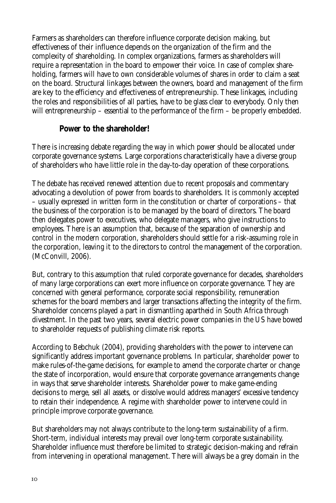Farmers as shareholders can therefore influence corporate decision making, but effectiveness of their influence depends on the organization of the firm and the complexity of shareholding. In complex organizations, farmers as shareholders will require a representation in the board to empower their voice. In case of complex shareholding, farmers will have to own considerable volumes of shares in order to claim a seat on the board. Structural linkages between the owners, board and management of the firm are key to the efficiency and effectiveness of entrepreneurship. These linkages, including the roles and responsibilities of all parties, have to be glass clear to everybody. Only then will entrepreneurship – essential to the performance of the firm – be properly embedded.

### **Power to the shareholder!**

There is increasing debate regarding the way in which power should be allocated under corporate governance systems. Large corporations characteristically have a diverse group of shareholders who have little role in the day-to-day operation of these corporations.

The debate has received renewed attention due to recent proposals and commentary advocating a devolution of power from boards to shareholders. It is commonly accepted – usually expressed in written form in the constitution or charter of corporations – that the business of the corporation is to be managed by the board of directors. The board then delegates power to executives, who delegate managers, who give instructions to employees. There is an assumption that, because of the separation of ownership and control in the modern corporation, shareholders should settle for a risk-assuming role in the corporation, leaving it to the directors to control the management of the corporation. (McConvill, 2006).

But, contrary to this assumption that ruled corporate governance for decades, shareholders of many large corporations can exert more influence on corporate governance. They are concerned with general performance, corporate social responsibility, remuneration schemes for the board members and larger transactions affecting the integrity of the firm. Shareholder concerns played a part in dismantling apartheid in South Africa through divestment. In the past two years, several electric power companies in the US have bowed to shareholder requests of publishing climate risk reports.

According to Bebchuk (2004), providing shareholders with the power to intervene can significantly address important governance problems. In particular, shareholder power to make rules-of-the-game decisions, for example to amend the corporate charter or change the state of incorporation, would ensure that corporate governance arrangements change in ways that serve shareholder interests. Shareholder power to make game-ending decisions to merge, sell all assets, or dissolve would address managers' excessive tendency to retain their independence. A regime with shareholder power to intervene could in principle improve corporate governance.

But shareholders may not always contribute to the long-term sustainability of a firm. Short-term, individual interests may prevail over long-term corporate sustainability. Shareholder influence must therefore be limited to strategic decision-making and refrain from intervening in operational management. There will always be a grey domain in the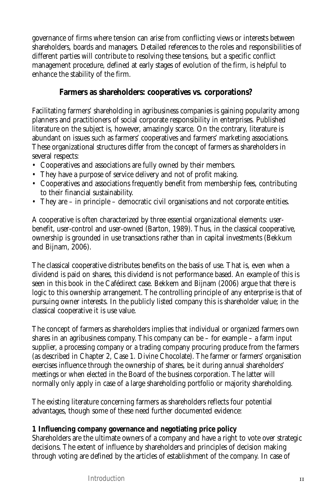governance of firms where tension can arise from conflicting views or interests between shareholders, boards and managers. Detailed references to the roles and responsibilities of different parties will contribute to resolving these tensions, but a specific conflict management procedure, defined at early stages of evolution of the firm, is helpful to enhance the stability of the firm.

## **Farmers as shareholders: cooperatives vs. corporations?**

Facilitating farmers' shareholding in agribusiness companies is gaining popularity among planners and practitioners of social corporate responsibility in enterprises. Published literature on the subject is, however, amazingly scarce. On the contrary, literature is abundant on issues such as farmers' cooperatives and farmers' marketing associations. These organizational structures differ from the concept of farmers as shareholders in several respects:

- Cooperatives and associations are fully owned by their members.
- They have a purpose of service delivery and not of profit making.
- Cooperatives and associations frequently benefit from membership fees, contributing to their financial sustainability.
- They are in principle democratic civil organisations and not corporate entities.

A cooperative is often characterized by three essential organizational elements: userbenefit, user-control and user-owned (Barton, 1989). Thus, in the classical cooperative, ownership is grounded in use transactions rather than in capital investments (Bekkum and Bijnam, 2006).

The classical cooperative distributes benefits on the basis of use. That is, even when a dividend is paid on shares, this dividend is not performance based. An example of this is seen in this book in the Cafédirect case. Bekkem and Bijnam (2006) argue that there is logic to this ownership arrangement. The controlling principle of any enterprise is that of pursuing owner interests. In the publicly listed company this is shareholder value; in the classical cooperative it is use value.

The concept of farmers as shareholders implies that individual or organized farmers own shares in an agribusiness company. This company can be – for example – a farm input supplier, a processing company or a trading company procuring produce from the farmers (as described in Chapter 2, Case 1. Divine Chocolate). The farmer or farmers' organisation exercises influence through the ownership of shares, be it during annual shareholders' meetings or when elected in the Board of the business corporation. The latter will normally only apply in case of a large shareholding portfolio or majority shareholding.

The existing literature concerning farmers as shareholders reflects four potential advantages, though some of these need further documented evidence:

### **1 Influencing company governance and negotiating price policy**

Shareholders are the ultimate owners of a company and have a right to vote over strategic decisions. The extent of influence by shareholders and principles of decision making through voting are defined by the articles of establishment of the company. In case of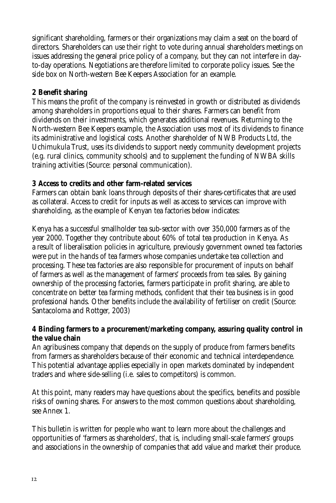significant shareholding, farmers or their organizations may claim a seat on the board of directors. Shareholders can use their right to vote during annual shareholders meetings on issues addressing the general price policy of a company, but they can not interfere in dayto-day operations. Negotiations are therefore limited to corporate policy issues. See the side box on North-western Bee Keepers Association for an example.

## **2 Benefit sharing**

This means the profit of the company is reinvested in growth or distributed as dividends among shareholders in proportions equal to their shares. Farmers can benefit from dividends on their investments, which generates additional revenues. Returning to the North-western Bee Keepers example, the Association uses most of its dividends to finance its administrative and logistical costs. Another shareholder of NWB Products Ltd, the Uchimukula Trust, uses its dividends to support needy community development projects (e.g. rural clinics, community schools) and to supplement the funding of NWBA skills training activities (Source: personal communication).

### **3 Access to credits and other farm-related services**

Farmers can obtain bank loans through deposits of their shares-certificates that are used as collateral. Access to credit for inputs as well as access to services can improve with shareholding, as the example of Kenyan tea factories below indicates:

Kenya has a successful smallholder tea sub-sector with over 350,000 farmers as of the year 2000. Together they contribute about 60% of total tea production in Kenya. As a result of liberalisation policies in agriculture, previously government owned tea factories were put in the hands of tea farmers whose companies undertake tea collection and processing. These tea factories are also responsible for procurement of inputs on behalf of farmers as well as the management of farmers' proceeds from tea sales. By gaining ownership of the processing factories, farmers participate in profit sharing, are able to concentrate on better tea farming methods, confident that their tea business is in good professional hands. Other benefits include the availability of fertiliser on credit (Source: Santacoloma and Rottger, 2003)

#### **4 Binding farmers to a procurement/marketing company, assuring quality control in the value chain**

An agribusiness company that depends on the supply of produce from farmers benefits from farmers as shareholders because of their economic and technical interdependence. This potential advantage applies especially in open markets dominated by independent traders and where side-selling (i.e. sales to competitors) is common.

At this point, many readers may have questions about the specifics, benefits and possible risks of owning shares. For answers to the most common questions about shareholding, see Annex 1.

This bulletin is written for people who want to learn more about the challenges and opportunities of 'farmers as shareholders', that is, including small-scale farmers' groups and associations in the ownership of companies that add value and market their produce.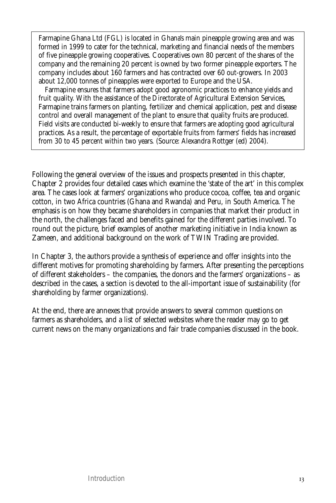Farmapine Ghana Ltd (FGL) is located in Ghana's main pineapple growing area and was formed in 1999 to cater for the technical, marketing and financial needs of the members of five pineapple growing cooperatives. Cooperatives own 80 percent of the shares of the company and the remaining 20 percent is owned by two former pineapple exporters. The company includes about 160 farmers and has contracted over 60 out-growers. In 2003 about 12,000 tonnes of pineapples were exported to Europe and the USA.

Farmapine ensures that farmers adopt good agronomic practices to enhance yields and fruit quality. With the assistance of the Directorate of Agricultural Extension Services, Farmapine trains farmers on planting, fertilizer and chemical application, pest and disease control and overall management of the plant to ensure that quality fruits are produced. Field visits are conducted bi-weekly to ensure that farmers are adopting good agricultural practices. As a result, the percentage of exportable fruits from farmers' fields has increased from 30 to 45 percent within two years. (Source: Alexandra Rottger (ed) 2004).

Following the general overview of the issues and prospects presented in this chapter, Chapter 2 provides four detailed cases which examine the 'state of the art' in this complex area. The cases look at farmers' organizations who produce cocoa, coffee, tea and organic cotton, in two Africa countries (Ghana and Rwanda) and Peru, in South America. The emphasis is on how they became shareholders in companies that market their product in the north, the challenges faced and benefits gained for the different parties involved. To round out the picture, brief examples of another marketing initiative in India known as Zameen, and additional background on the work of TWIN Trading are provided.

In Chapter 3, the authors provide a synthesis of experience and offer insights into the different motives for promoting shareholding by farmers. After presenting the perceptions of different stakeholders – the companies, the donors and the farmers' organizations – as described in the cases, a section is devoted to the all-important issue of sustainability (for shareholding by farmer organizations).

At the end, there are annexes that provide answers to several common questions on farmers as shareholders, and a list of selected websites where the reader may go to get current news on the many organizations and fair trade companies discussed in the book.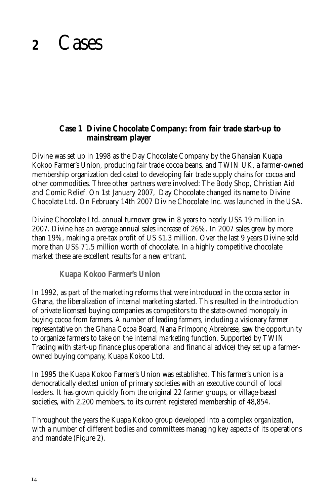## **<sup>2</sup>** Cases

## **Case 1 Divine Chocolate Company: from fair trade start-up to mainstream player**

Divine was set up in 1998 as the Day Chocolate Company by the Ghanaian Kuapa Kokoo Farmer's Union, producing fair trade cocoa beans, and TWIN UK, a farmer-owned membership organization dedicated to developing fair trade supply chains for cocoa and other commodities. Three other partners were involved: The Body Shop, Christian Aid and Comic Relief. On 1st January 2007, Day Chocolate changed its name to Divine Chocolate Ltd. On February 14th 2007 Divine Chocolate Inc. was launched in the USA.

Divine Chocolate Ltd. annual turnover grew in 8 years to nearly US\$ 19 million in 2007. Divine has an average annual sales increase of 26%. In 2007 sales grew by more than 19%, making a pre-tax profit of US \$1.3 million. Over the last 9 years Divine sold more than US\$ 71.5 million worth of chocolate. In a highly competitive chocolate market these are excellent results for a new entrant.

**Kuapa Kokoo Farmer's Union**

In 1992, as part of the marketing reforms that were introduced in the cocoa sector in Ghana, the liberalization of internal marketing started. This resulted in the introduction of private licensed buying companies as competitors to the state-owned monopoly in buying cocoa from farmers. A number of leading farmers, including a visionary farmer representative on the Ghana Cocoa Board, Nana Frimpong Abrebrese, saw the opportunity to organize farmers to take on the internal marketing function. Supported by TWIN Trading with start-up finance plus operational and financial advice) they set up a farmerowned buying company, Kuapa Kokoo Ltd.

In 1995 the Kuapa Kokoo Farmer's Union was established. This farmer's union is a democratically elected union of primary societies with an executive council of local leaders. It has grown quickly from the original 22 farmer groups, or village-based societies, with 2,200 members, to its current registered membership of 48,854.

Throughout the years the Kuapa Kokoo group developed into a complex organization, with a number of different bodies and committees managing key aspects of its operations and mandate (Figure 2).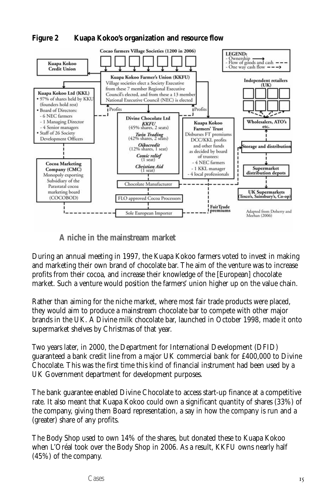#### **Figure 2 Kuapa Kokoo's organization and resource flow**



**A niche in the mainstream market**

During an annual meeting in 1997, the Kuapa Kokoo farmers voted to invest in making and marketing their own brand of chocolate bar. The aim of the venture was to increase profits from their cocoa, and increase their knowledge of the [European] chocolate market. Such a venture would position the farmers' union higher up on the value chain.

Rather than aiming for the niche market, where most fair trade products were placed, they would aim to produce a mainstream chocolate bar to compete with other major brands in the UK. A Divine milk chocolate bar, launched in October 1998, made it onto supermarket shelves by Christmas of that year.

Two years later, in 2000, the Department for International Development (DFID) guaranteed a bank credit line from a major UK commercial bank for £400,000 to Divine Chocolate. This was the first time this kind of financial instrument had been used by a UK Government department for development purposes.

The bank guarantee enabled Divine Chocolate to access start-up finance at a competitive rate. It also meant that Kuapa Kokoo could own a significant quantity of shares (33%) of the company, giving them Board representation, a say in how the company is run and a (greater) share of any profits.

The Body Shop used to own 14% of the shares, but donated these to Kuapa Kokoo when L'Oréal took over the Body Shop in 2006. As a result, KKFU owns nearly half (45%) of the company.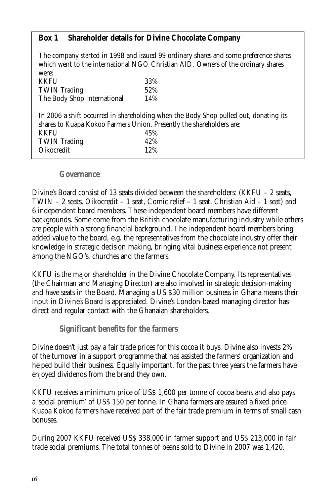## **Box 1 Shareholder details for Divine Chocolate Company**

The company started in 1998 and issued 99 ordinary shares and some preference shares which went to the international NGO Christian AID. Owners of the ordinary shares were: KKFU 33%<br>TWIN Trading 52% **TWIN Trading** The Body Shop International 14% In 2006 a shift occurred in shareholding when the Body Shop pulled out, donating its shares to Kuapa Kokoo Farmers Union. Presently the shareholders are: KKFU 45% TWIN Trading  $42\%$ <br>Oikocredit 12% Oikocredit

#### **Governance**

Divine's Board consist of 13 seats divided between the shareholders: (KKFU – 2 seats, TWIN – 2 seats, Oikocredit – 1 seat, Comic relief – 1 seat, Christian Aid – 1 seat) and 6 independent board members. These independent board members have different backgrounds. Some come from the British chocolate manufacturing industry while others are people with a strong financial background. The independent board members bring added value to the board, e.g. the representatives from the chocolate industry offer their knowledge in strategic decision making, bringing vital business experience not present among the NGO's, churches and the farmers.

KKFU is the major shareholder in the Divine Chocolate Company. Its representatives (the Chairman and Managing Director) are also involved in strategic decision-making and have seats in the Board. Managing a US \$30 million business in Ghana means their input in Divine's Board is appreciated. Divine's London-based managing director has direct and regular contact with the Ghanaian shareholders.

**Significant benefits for the farmers**

Divine doesn't just pay a fair trade prices for this cocoa it buys. Divine also invests 2% of the turnover in a support programme that has assisted the farmers' organization and helped build their business. Equally important, for the past three years the farmers have enjoyed dividends from the brand they own.

KKFU receives a minimum price of US\$ 1,600 per tonne of cocoa beans and also pays a 'social premium' of US\$ 150 per tonne. In Ghana farmers are assured a fixed price. Kuapa Kokoo farmers have received part of the fair trade premium in terms of small cash bonuses.

During 2007 KKFU received US\$ 338,000 in farmer support and US\$ 213,000 in fair trade social premiums. The total tonnes of beans sold to Divine in 2007 was 1,420.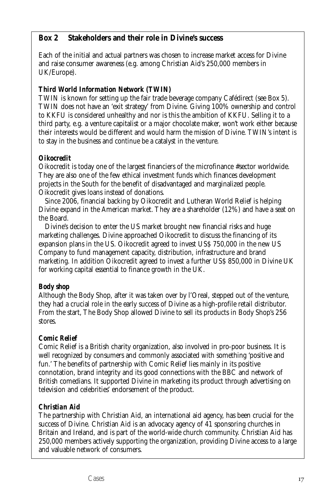## **Box 2 Stakeholders and their role in Divine's success**

Each of the initial and actual partners was chosen to increase market access for Divine and raise consumer awareness (e.g. among Christian Aid's 250,000 members in UK/Europe).

#### *Third World Information Network (TWIN)*

TWIN is known for setting up the fair trade beverage company Cafédirect (see Box 5). TWIN does not have an 'exit strategy' from Divine. Giving 100% ownership and control to KKFU is considered unhealthy and nor is this the ambition of KKFU. Selling it to a third party, e.g. a venture capitalist or a major chocolate maker, won't work either because their interests would be different and would harm the mission of Divine. TWIN's intent is to stay in the business and continue be a catalyst in the venture.

#### *Oikocredit*

Oikocredit is today one of the largest financiers of the microfinance #sector worldwide. They are also one of the few ethical investment funds which finances development projects in the South for the benefit of disadvantaged and marginalized people. Oikocredit gives loans instead of donations.

Since 2006, financial backing by Oikocredit and Lutheran World Relief is helping Divine expand in the American market. They are a shareholder (12%) and have a seat on the Board.

Divine's decision to enter the US market brought new financial risks and huge marketing challenges. Divine approached Oikocredit to discuss the financing of its expansion plans in the US. Oikocredit agreed to invest US\$ 750,000 in the new US Company to fund management capacity, distribution, infrastructure and brand marketing. In addition Oikocredit agreed to invest a further US\$ 850,000 in Divine UK for working capital essential to finance growth in the UK.

### *Body shop*

Although the Body Shop, after it was taken over by l'Oreal, stepped out of the venture, they had a crucial role in the early success of Divine as a high-profile retail distributor. From the start, The Body Shop allowed Divine to sell its products in Body Shop's 256 stores.

### *Comic Relief*

Comic Relief is a British charity organization, also involved in pro-poor business. It is well recognized by consumers and commonly associated with something 'positive and fun.' The benefits of partnership with Comic Relief lies mainly in its positive connotation, brand integrity and its good connections with the BBC and network of British comedians. It supported Divine in marketing its product through advertising on television and celebrities' endorsement of the product.

### *Christian Aid*

The partnership with Christian Aid, an international aid agency, has been crucial for the success of Divine. Christian Aid is an advocacy agency of 41 sponsoring churches in Britain and Ireland, and is part of the world-wide church community. Christian Aid has 250,000 members actively supporting the organization, providing Divine access to a large and valuable network of consumers.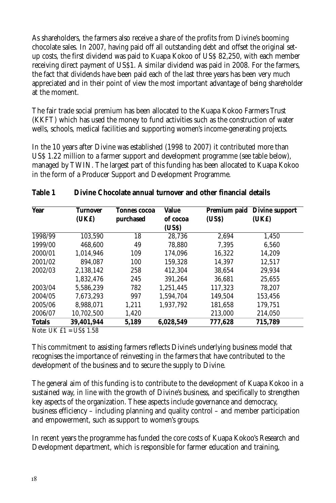As shareholders, the farmers also receive a share of the profits from Divine's booming chocolate sales. In 2007, having paid off all outstanding debt and offset the original setup costs, the first dividend was paid to Kuapa Kokoo of US\$ 82,250, with each member receiving direct payment of US\$1. A similar dividend was paid in 2008. For the farmers, the fact that dividends have been paid each of the last three years has been very much appreciated and in their point of view the most important advantage of being shareholder at the moment.

The fair trade social premium has been allocated to the Kuapa Kokoo Farmers Trust (KKFT) which has used the money to fund activities such as the construction of water wells, schools, medical facilities and supporting women's income-generating projects.

In the 10 years after Divine was established (1998 to 2007) it contributed more than US\$ 1.22 million to a farmer support and development programme (see table below), managed by TWIN. The largest part of this funding has been allocated to Kuapa Kokoo in the form of a Producer Support and Development Programme.

| <b>Year</b>   | <b>Turnover</b><br>(UK£) | <b>Tonnes cocoa</b> | Value<br>of cocoa | Premium paid<br>(US\$) | <b>Divine support</b><br>(UK£) |
|---------------|--------------------------|---------------------|-------------------|------------------------|--------------------------------|
|               |                          | purchased           | (USS)             |                        |                                |
| 1998/99       | 103,590                  | 18                  | 28,736            | 2.694                  | 1,450                          |
| 1999/00       | 468.600                  | 49                  | 78.880            | 7.395                  | 6,560                          |
| 2000/01       | 1.014.946                | 109                 | 174.096           | 16,322                 | 14,209                         |
| 2001/02       | 894.087                  | 100                 | 159,328           | 14,397                 | 12,517                         |
| 2002/03       | 2.138.142                | 258                 | 412.304           | 38.654                 | 29.934                         |
|               | 1.832.476                | 245                 | 391.264           | 36.681                 | 25.655                         |
| 2003/04       | 5.586.239                | 782                 | 1.251.445         | 117.323                | 78.207                         |
| 2004/05       | 7.673.293                | 997                 | 1.594.704         | 149.504                | 153.456                        |
| 2005/06       | 8.988.071                | 1.211               | 1.937.792         | 181.658                | 179.751                        |
| 2006/07       | 10,702,500               | 1,420               |                   | 213,000                | 214,050                        |
| <b>Totals</b> | 39,401,944               | 5,189               | 6,028,549         | 777,628                | 715,789                        |

#### **Table 1 Divine Chocolate annual turnover and other financial details**

Note: UK £1 = US\$ 1.58

This commitment to assisting farmers reflects Divine's underlying business model that recognises the importance of reinvesting in the farmers that have contributed to the development of the business and to secure the supply to Divine.

The general aim of this funding is to contribute to the development of Kuapa Kokoo in a sustained way, in line with the growth of Divine's business, and specifically to strengthen key aspects of the organization. These aspects include governance and democracy, business efficiency – including planning and quality control – and member participation and empowerment, such as support to women's groups.

In recent years the programme has funded the core costs of Kuapa Kokoo's Research and Development department, which is responsible for farmer education and training,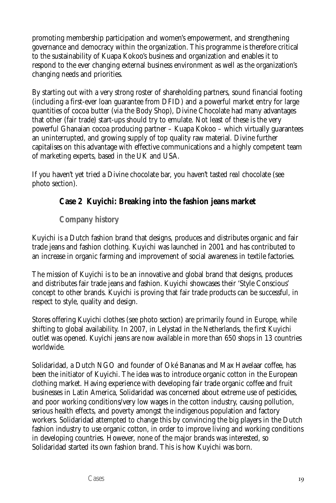promoting membership participation and women's empowerment, and strengthening governance and democracy within the organization. This programme is therefore critical to the sustainability of Kuapa Kokoo's business and organization and enables it to respond to the ever changing external business environment as well as the organization's changing needs and priorities.

By starting out with a very strong roster of shareholding partners, sound financial footing (including a first-ever loan guarantee from DFID) and a powerful market entry for large quantities of cocoa butter (via the Body Shop), Divine Chocolate had many advantages that other (fair trade) start-ups should try to emulate. Not least of these is the very powerful Ghanaian cocoa producing partner – Kuapa Kokoo – which virtually guarantees an uninterrupted, and growing supply of top quality raw material. Divine further capitalises on this advantage with effective communications and a highly competent team of marketing experts, based in the UK and USA.

If you haven't yet tried a Divine chocolate bar, you haven't tasted *real* chocolate (see photo section).

## **Case 2 Kuyichi: Breaking into the fashion jeans market**

## **Company history**

Kuyichi is a Dutch fashion brand that designs, produces and distributes organic and fair trade jeans and fashion clothing. Kuyichi was launched in 2001 and has contributed to an increase in organic farming and improvement of social awareness in textile factories.

The mission of Kuyichi is to be an innovative and global brand that designs, produces and distributes fair trade jeans and fashion. Kuyichi showcases their 'Style Conscious' concept to other brands. Kuyichi is proving that fair trade products can be successful, in respect to style, quality and design.

Stores offering Kuyichi clothes (see photo section) are primarily found in Europe, while shifting to global availability. In 2007, in Lelystad in the Netherlands, the first Kuyichi outlet was opened. Kuyichi jeans are now available in more than 650 shops in 13 countries worldwide.

Solidaridad, a Dutch NGO and founder of Oké Bananas and Max Havelaar coffee, has been the initiator of Kuyichi. The idea was to introduce organic cotton in the European clothing market. Having experience with developing fair trade organic coffee and fruit businesses in Latin America, Solidaridad was concerned about extreme use of pesticides, and poor working conditions/very low wages in the cotton industry, causing pollution, serious health effects, and poverty amongst the indigenous population and factory workers. Solidaridad attempted to change this by convincing the big players in the Dutch fashion industry to use organic cotton, in order to improve living and working conditions in developing countries. However, none of the major brands was interested, so Solidaridad started its own fashion brand. This is how Kuyichi was born.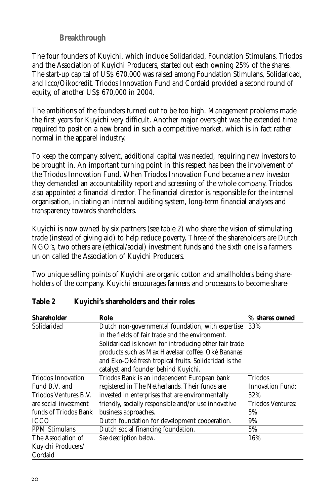## **Breakthrough**

The four founders of Kuyichi, which include Solidaridad, Foundation Stimulans, Triodos and the Association of Kuyichi Producers, started out each owning 25% of the shares. The start-up capital of US\$ 670,000 was raised among Foundation Stimulans, Solidaridad, and Icco/Oikocredit. Triodos Innovation Fund and Cordaid provided a second round of equity, of another US\$ 670,000 in 2004.

The ambitions of the founders turned out to be too high. Management problems made the first years for Kuyichi very difficult. Another major oversight was the extended time required to position a new brand in such a competitive market, which is in fact rather normal in the apparel industry.

To keep the company solvent, additional capital was needed, requiring new investors to be brought in. An important turning point in this respect has been the involvement of the Triodos Innovation Fund. When Triodos Innovation Fund became a new investor they demanded an accountability report and screening of the whole company. Triodos also appointed a financial director. The financial director is responsible for the internal organisation, initiating an internal auditing system, long-term financial analyses and transparency towards shareholders.

Kuyichi is now owned by six partners (see table 2) who share the vision of stimulating trade (instead of giving aid) to help reduce poverty. Three of the shareholders are Dutch NGO's, two others are (ethical/social) investment funds and the sixth one is a farmers union called the Association of Kuyichi Producers.

Two unique selling points of Kuyichi are organic cotton and smallholders being shareholders of the company. Kuyichi encourages farmers and processors to become share-

| <b>Shareholder</b>        | Role                                                  | % shares owned           |
|---------------------------|-------------------------------------------------------|--------------------------|
| Solidaridad               | Dutch non-governmental foundation, with expertise     | 33%                      |
|                           | in the fields of fair trade and the environment.      |                          |
|                           | Solidaridad is known for introducing other fair trade |                          |
|                           | products such as Max Havelaar coffee, Oké Bananas     |                          |
|                           | and Eko-Oké fresh tropical fruits. Solidaridad is the |                          |
|                           | catalyst and founder behind Kuyichi.                  |                          |
| <b>Triodos Innovation</b> | Triodos Bank is an independent European bank          | Triodos                  |
| Fund B.V. and             | registered in The Netherlands. Their funds are        | <b>Innovation Fund:</b>  |
| Triodos Ventures B.V.     | invested in enterprises that are environmentally      | 32%                      |
| are social investment     | friendly, socially responsible and/or use innovative  | <b>Triodos Ventures:</b> |
| funds of Triodos Bank     | business approaches.                                  | 5%                       |
| <b>ICCO</b>               | Dutch foundation for development cooperation.         | 9%                       |
| <b>PPM Stimulans</b>      | Dutch social financing foundation.                    | 5%                       |
| The Association of        | See description below.                                | 16%                      |
| Kuyichi Producers/        |                                                       |                          |
| Cordaid                   |                                                       |                          |

### **Table 2 Kuyichi's shareholders and their roles**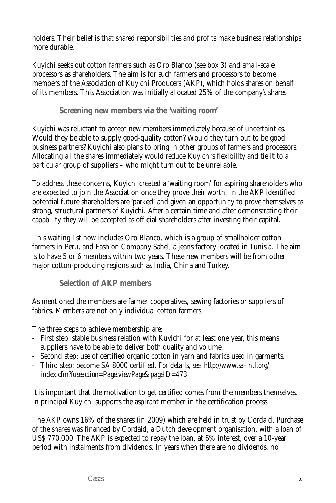holders. Their belief is that shared responsibilities and profits make business relationships more durable.

Kuyichi seeks out cotton farmers such as Oro Blanco (see box 3) and small-scale processors as shareholders. The aim is for such farmers and processors to become members of the Association of Kuyichi Producers (AKP), which holds shares on behalf of its members. This Association was initially allocated 25% of the company's shares.

**Screening new members via the 'waiting room'**

Kuyichi was reluctant to accept new members immediately because of uncertainties. Would they be able to supply good-quality cotton? Would they turn out to be good business partners? Kuyichi also plans to bring in other groups of farmers and processors. Allocating all the shares immediately would reduce Kuyichi's flexibility and tie it to a particular group of suppliers – who might turn out to be unreliable.

To address these concerns, Kuyichi created a 'waiting room' for aspiring shareholders who are expected to join the Association once they prove their worth. In the AKP identified potential future shareholders are 'parked' and given an opportunity to prove themselves as strong, structural partners of Kuyichi. After a certain time and after demonstrating their capability they will be accepted as official shareholders after investing their capital.

This waiting list now includes Oro Blanco, which is a group of smallholder cotton farmers in Peru, and Fashion Company Sahel, a jeans factory located in Tunisia. The aim is to have 5 or 6 members within two years. These new members will be from other major cotton-producing regions such as India, China and Turkey.

**Selection of AKP members**

As mentioned the members are farmer cooperatives, sewing factories or suppliers of fabrics. Members are not only individual cotton farmers.

The three steps to achieve membership are:

- First step: stable business relation with Kuyichi for at least one year, this means suppliers have to be able to deliver both quality and volume.
- Second step: use of certified organic cotton in yarn and fabrics used in garments.
- Third step: become SA 8000 certified. *For details, see: http://www.sa-intl.org/ index.cfm?fuseaction=Page.viewPage&pageID=473*

It is important that the motivation to get certified comes from the members themselves. In principal Kuyichi supports the aspirant member in the certification process.

The AKP owns 16% of the shares (in 2009) which are held in trust by Cordaid. Purchase of the shares was financed by Cordaid, a Dutch development organisation, with a loan of US\$ 770,000. The AKP is expected to repay the loan, at 6% interest, over a 10-year period with instalments from dividends. In years when there are no dividends, no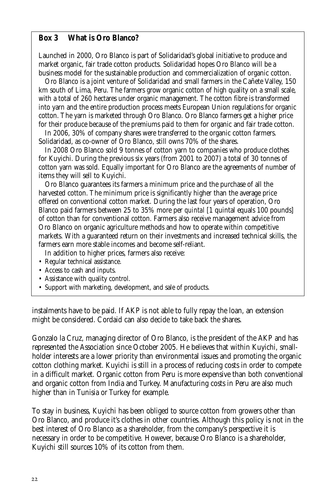#### **Box 3 What is Oro Blanco?**

Launched in 2000, Oro Blanco is part of Solidaridad's global initiative to produce and market organic, fair trade cotton products. Solidaridad hopes Oro Blanco will be a business model for the sustainable production and commercialization of organic cotton.

Oro Blanco is a joint venture of Solidaridad and small farmers in the Cañete Valley, 150 km south of Lima, Peru. The farmers grow organic cotton of high quality on a small scale, with a total of 260 hectares under organic management. The cotton fibre is transformed into yarn and the entire production process meets European Union regulations for organic cotton. The yarn is marketed through Oro Blanco. Oro Blanco farmers get a higher price for their produce because of the premiums paid to them for organic and fair trade cotton.

In 2006, 30% of company shares were transferred to the organic cotton farmers. Solidaridad, as co-owner of Oro Blanco, still owns 70% of the shares.

In 2008 Oro Blanco sold 9 tonnes of cotton yarn to companies who produce clothes for Kuyichi. During the previous six years (from 2001 to 2007) a total of 30 tonnes of cotton yarn was sold. Equally important for Oro Blanco are the agreements of number of items they will sell to Kuyichi.

Oro Blanco guarantees its farmers a minimum price and the purchase of all the harvested cotton. The minimum price is significantly higher than the average price offered on conventional cotton market. During the last four years of operation, Oro Blanco paid farmers between 25 to 35% more per *quintal* [1 quintal equals 100 pounds] of cotton than for conventional cotton. Farmers also receive management advice from Oro Blanco on organic agriculture methods and how to operate within competitive markets. With a guaranteed return on their investments and increased technical skills, the farmers earn more stable incomes and become self-reliant.

In addition to higher prices, farmers also receive:

- Regular technical assistance.
- Access to cash and inputs.
- Assistance with quality control.
- Support with marketing, development, and sale of products.

instalments have to be paid. If AKP is not able to fully repay the loan, an extension might be considered. Cordaid can also decide to take back the shares.

Gonzalo la Cruz, managing director of Oro Blanco, is the president of the AKP and has represented the Association since October 2005. He believes that within Kuyichi, smallholder interests are a lower priority than environmental issues and promoting the organic cotton clothing market. Kuyichi is still in a process of reducing costs in order to compete in a difficult market. Organic cotton from Peru is more expensive than both conventional and organic cotton from India and Turkey. Manufacturing costs in Peru are also much higher than in Tunisia or Turkey for example.

To stay in business, Kuyichi has been obliged to source cotton from growers other than Oro Blanco, and produce it's clothes in other countries. Although this policy is not in the best interest of Oro Blanco as a shareholder, from the company's perspective it is necessary in order to be competitive. However, because Oro Blanco is a shareholder, Kuyichi still sources 10% of its cotton from them.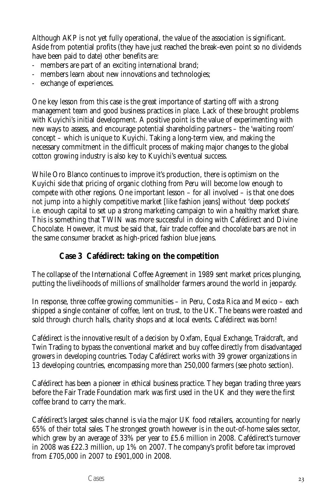Although AKP is not yet fully operational, the value of the association is significant. Aside from potential profits (they have just reached the break-even point so no dividends have been paid to date) other benefits are:

- members are part of an exciting international brand;
- members learn about new innovations and technologies;
- exchange of experiences.

One key lesson from this case is the great importance of starting off with a strong management team and good business practices in place. Lack of these brought problems with Kuyichi's initial development. A positive point is the value of experimenting with new ways to assess, and encourage potential shareholding partners – the 'waiting room' concept – which is unique to Kuyichi. Taking a long-term view, and making the necessary commitment in the difficult process of making major changes to the global cotton growing industry is also key to Kuyichi's eventual success.

While Oro Blanco continues to improve it's production, there is optimism on the Kuyichi side that pricing of organic clothing from Peru will become low enough to compete with other regions. One important lesson – for all involved – is that one does not jump into a highly competitive market [like fashion jeans] without 'deep pockets' i.e. enough capital to set up a strong marketing campaign to win a healthy market share. This is something that TWIN was more successful in doing with Cafédirect and Divine Chocolate. However, it must be said that, fair trade coffee and chocolate bars are not in the same consumer bracket as high-priced fashion blue jeans.

## **Case 3 Cafédirect: taking on the competition**

The collapse of the International Coffee Agreement in 1989 sent market prices plunging, putting the livelihoods of millions of smallholder farmers around the world in jeopardy.

In response, three coffee growing communities – in Peru, Costa Rica and Mexico – each shipped a single container of coffee, lent on trust, to the UK. The beans were roasted and sold through church halls, charity shops and at local events. Cafédirect was born!

Cafédirect is the innovative result of a decision by Oxfam, Equal Exchange, Traidcraft, and Twin Trading to bypass the conventional market and buy coffee directly from disadvantaged growers in developing countries. Today Cafédirect works with 39 grower organizations in 13 developing countries, encompassing more than 250,000 farmers (see photo section).

Cafédirect has been a pioneer in ethical business practice. They began trading three years before the Fair Trade Foundation mark was first used in the UK and they were the first coffee brand to carry the mark.

Cafédirect's largest sales channel is via the major UK food retailers, accounting for nearly 65% of their total sales. The strongest growth however is in the out-of-home sales sector, which grew by an average of 33% per year to £5.6 million in 2008. Cafédirect's turnover in 2008 was £22.3 million, up 1% on 2007. The company's profit before tax improved from £705,000 in 2007 to £901,000 in 2008.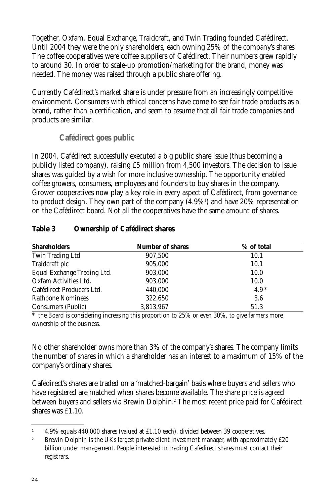Together, Oxfam, Equal Exchange, Traidcraft, and Twin Trading founded Cafédirect. Until 2004 they were the only shareholders, each owning 25% of the company's shares. The coffee cooperatives were coffee suppliers of Cafédirect. Their numbers grew rapidly to around 30. In order to scale-up promotion/marketing for the brand, money was needed. The money was raised through a public share offering.

Currently Cafédirect's market share is under pressure from an increasingly competitive environment. Consumers with ethical concerns have come to see fair trade products as a brand, rather than a certification, and seem to assume that all fair trade companies and products are similar.

**Cafédirect goes public**

In 2004, Cafédirect successfully executed a big public share issue (thus becoming a publicly listed company), raising £5 million from 4,500 investors. The decision to issue shares was guided by a wish for more inclusive ownership. The opportunity enabled coffee growers, consumers, employees and founders to buy shares in the company. Grower cooperatives now play a key role in every aspect of Cafédirect, from governance to product design. They own part of the company (4.9%<sup>1</sup>) and have 20% representation on the Cafédirect board. Not all the cooperatives have the same amount of shares.

| <b>Shareholders</b>         | <b>Number of shares</b> | % of total |
|-----------------------------|-------------------------|------------|
| Twin Trading Ltd            | 907,500                 | 10.1       |
| Traidcraft plc              | 905,000                 | 10.1       |
| Equal Exchange Trading Ltd. | 903,000                 | 10.0       |
| Oxfam Activities Ltd.       | 903,000                 | 10.0       |
| Cafédirect Producers Ltd.   | 440,000                 | $4.9*$     |
| Rathbone Nominees           | 322,650                 | 3.6        |
| Consumers (Public)          | 3,813,967               | 51.3       |

### **Table 3 Ownership of Cafédirect shares**

 $*$  the Board is considering increasing this proportion to 25% or even 30%, to give farmers more ownership of the business.

No other shareholder owns more than 3% of the company's shares. The company limits the number of shares in which a shareholder has an interest to a maximum of 15% of the company's ordinary shares.

Cafédirect's shares are traded on a 'matched-bargain' basis where buyers and sellers who have registered are matched when shares become available. The share price is agreed between buyers and sellers via Brewin Dolphin.2 The most recent price paid for Cafédirect shares was £1.10.

<sup>&</sup>lt;sup>1</sup> 4.9% equals 440,000 shares (valued at £1.10 each), divided between 39 cooperatives.

<sup>&</sup>lt;sup>2</sup> Brewin Dolphin is the UKs largest private client investment manager, with approximately £20 billion under management. People interested in trading Cafédirect shares must contact their registrars.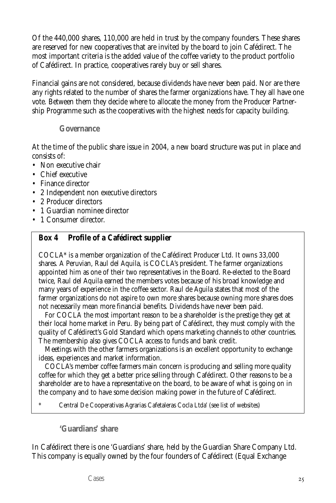Of the 440,000 shares, 110,000 are held in trust by the company founders. These shares are reserved for new cooperatives that are invited by the board to join Cafédirect. The most important criteria is the added value of the coffee variety to the product portfolio of Cafédirect. In practice, cooperatives rarely buy or sell shares.

Financial gains are not considered, because dividends have never been paid. Nor are there any rights related to the number of shares the farmer organizations have. They all have one vote. Between them they decide where to allocate the money from the Producer Partnership Programme such as the cooperatives with the highest needs for capacity building.

#### **Governance**

At the time of the public share issue in 2004, a new board structure was put in place and consists of:

- Non executive chair
- Chief executive
- Finance director
- 2 Independent non executive directors
- 2 Producer directors
- 1 Guardian nominee director
- 1 Consumer director.

## **Box 4 Profile of a Cafédirect supplier**

COCLA\* is a member organization of the Cafédirect Producer Ltd. It owns 33,000 shares. A Peruvian, Raul del Aquila, is COCLA's president. The farmer organizations appointed him as one of their two representatives in the Board. Re-elected to the Board twice, Raul del Aquila earned the members votes because of his broad knowledge and many years of experience in the coffee sector. Raul de Aguila states that most of the farmer organizations do not aspire to own more shares because owning more shares does not necessarily mean more financial benefits. Dividends have never been paid.

For COCLA the most important reason to be a shareholder is the prestige they get at their local home market in Peru. By being part of Cafédirect, they must comply with the quality of Cafédirect's Gold Standard which opens marketing channels to other countries. The membership also gives COCLA access to funds and bank credit.

Meetings with the other farmers organizations is an excellent opportunity to exchange ideas, experiences and market information.

COCLA's member coffee farmers main concern is producing and selling more quality coffee for which they get a better price selling through Cafédirect. Other reasons to be a shareholder are to have a representative on the board, to be aware of what is going on in the company and to have some decision making power in the future of Cafédirect.

\* Central De Cooperativas Agrarias Cafetaleras Cocla Ltda' (see list of websites)

**'Guardians' share** 

In Cafédirect there is one 'Guardians' share, held by the Guardian Share Company Ltd. This company is equally owned by the four founders of Cafédirect (Equal Exchange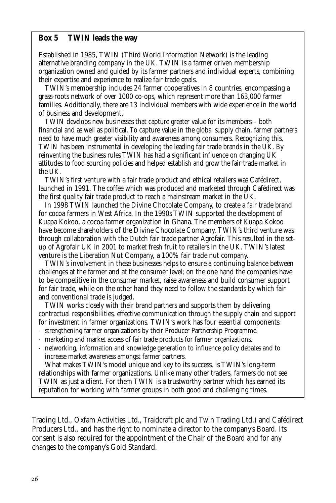#### **Box 5 TWIN leads the way**

Established in 1985, TWIN (Third World Information Network) is the leading alternative branding company in the UK. TWIN is a farmer driven membership organization owned and guided by its farmer partners and individual experts, combining their expertise and experience to realize fair trade goals.

TWIN's membership includes 24 farmer cooperatives in 8 countries, encompassing a grass-roots network of over 1000 co-ops, which represent more than 163,000 farmer families. Additionally, there are 13 individual members with wide experience in the world of business and development.

TWIN develops new businesses that capture greater value for its members – both financial and as well as political. To capture value in the global supply chain, farmer partners need to have much greater visibility and awareness among consumers. Recognizing this, TWIN has been instrumental in developing the leading fair trade brands in the UK. By reinventing the business rules TWIN has had a significant influence on changing UK attitudes to food sourcing policies and helped establish and grow the fair trade market in the UK.

TWIN's first venture with a fair trade product and ethical retailers was Cafédirect, launched in 1991. The coffee which was produced and marketed through Cafédirect was the first quality fair trade product to reach a mainstream market in the UK.

In 1998 TWIN launched the Divine Chocolate Company, to create a fair trade brand for cocoa farmers in West Africa. In the 1990s TWIN supported the development of Kuapa Kokoo, a cocoa farmer organization in Ghana. The members of Kuapa Kokoo have become shareholders of the Divine Chocolate Company. TWIN's third venture was through collaboration with the Dutch fair trade partner Agrofair. This resulted in the setup of Agrofair UK in 2001 to market fresh fruit to retailers in the UK. TWIN's latest venture is the Liberation Nut Company, a 100% fair trade nut company.

TWIN's involvement in these businesses helps to ensure a continuing balance between challenges at the farmer and at the consumer level; on the one hand the companies have to be competitive in the consumer market, raise awareness and build consumer support for fair trade, while on the other hand they need to follow the standards by which fair and conventional trade is judged.

TWIN works closely with their brand partners and supports them by delivering contractual responsibilities, effective communication through the supply chain and support for investment in farmer organizations. TWIN's work has four essential components:

- strengthening farmer organizations by their Producer Partnership Programme.
- marketing and market access of fair trade products for farmer organizations.
- networking, information and knowledge generation to influence policy debates and to increase market awareness amongst farmer partners.

What makes TWIN's model unique and key to its success, is TWIN's long-term relationships with farmer organizations. Unlike many other traders, farmers do not see TWIN as just a client. For them TWIN is a trustworthy partner which has earned its reputation for working with farmer groups in both good and challenging times.

Trading Ltd., Oxfam Activities Ltd., Traidcraft plc and Twin Trading Ltd.) and Cafédirect Producers Ltd., and has the right to nominate a director to the company's Board. Its consent is also required for the appointment of the Chair of the Board and for any changes to the company's Gold Standard.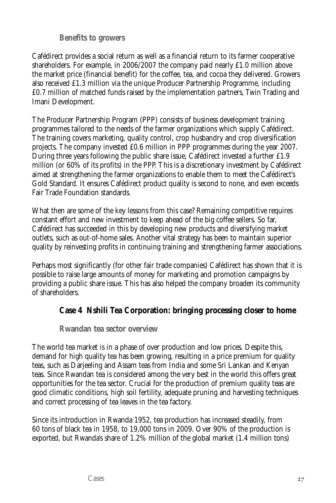**Benefits to growers**

Cafédirect provides a social return as well as a financial return to its farmer cooperative shareholders. For example, in 2006/2007 the company paid nearly £1.0 million above the market price (financial benefit) for the coffee, tea, and cocoa they delivered. Growers also received £1.3 million via the unique Producer Partnership Programme, including £0.7 million of matched funds raised by the implementation partners, Twin Trading and Imani Development.

The Producer Partnership Program (PPP) consists of business development training programmes tailored to the needs of the farmer organizations which supply Cafédirect. The training covers marketing, quality control, crop husbandry and crop diversification projects. The company invested £0.6 million in PPP programmes during the year 2007. During three years following the public share issue, Cafédirect invested a further £1.9 million (or 60% of its profits) in the PPP. This is a discretionary investment by Cafédirect aimed at strengthening the farmer organizations to enable them to meet the Cafédirect's Gold Standard. It ensures Cafédirect product quality is second to none, and even exceeds Fair Trade Foundation standards.

What then are some of the key lessons from this case? Remaining competitive requires constant effort and new investment to keep ahead of the big coffee sellers. So far, Cafédirect has succeeded in this by developing new products and diversifying market outlets, such as out-of-home sales. Another vital strategy has been to maintain superior quality by reinvesting profits in continuing training and strengthening farmer associations.

Perhaps most significantly (for other fair trade companies) Cafédirect has shown that it is possible to raise large amounts of money for marketing and promotion campaigns by providing a public share issue. This has also helped the company broaden its community of shareholders.

## **Case 4 Nshili Tea Corporation: bringing processing closer to home**

**Rwandan tea sector overview**

The world tea market is in a phase of over production and low prices. Despite this, demand for high quality tea has been growing, resulting in a price premium for quality teas, such as Darjeeling and Assam teas from India and some Sri Lankan and Kenyan teas. Since Rwandan tea is considered among the very best in the world this offers great opportunities for the tea sector. Crucial for the production of premium quality teas are good climatic conditions, high soil fertility, adequate pruning and harvesting techniques and correct processing of tea leaves in the tea factory.

Since its introduction in Rwanda 1952, tea production has increased steadily, from 60 tons of black tea in 1958, to 19,000 tons in 2009. Over 90% of the production is exported, but Rwanda's share of 1.2% million of the global market (1.4 million tons)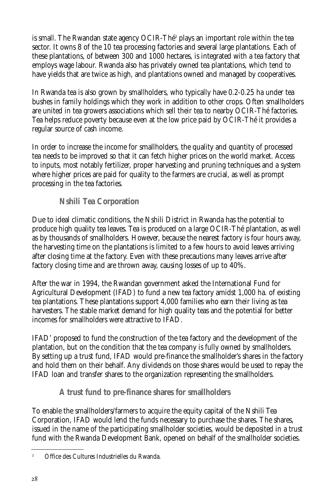is small. The Rwandan state agency OCIR-Thé<sup>3</sup> plays an important role within the tea sector. It owns 8 of the 10 tea processing factories and several large plantations. Each of these plantations, of between 300 and 1000 hectares, is integrated with a tea factory that employs wage labour. Rwanda also has privately owned tea plantations, which tend to have yields that are twice as high, and plantations owned and managed by cooperatives.

In Rwanda tea is also grown by smallholders, who typically have 0.2-0.25 ha under tea bushes in family holdings which they work in addition to other crops. Often smallholders are united in tea growers associations which sell their tea to nearby OCIR-Thé factories. Tea helps reduce poverty because even at the low price paid by OCIR-Thé it provides a regular source of cash income.

In order to increase the income for smallholders, the quality and quantity of processed tea needs to be improved so that it can fetch higher prices on the world market. Access to inputs, most notably fertilizer, proper harvesting and pruning techniques and a system where higher prices are paid for quality to the farmers are crucial, as well as prompt processing in the tea factories.

## **Nshili Tea Corporation**

Due to ideal climatic conditions, the Nshili District in Rwanda has the potential to produce high quality tea leaves. Tea is produced on a large OCIR-Thé plantation, as well as by thousands of smallholders. However, because the nearest factory is four hours away, the harvesting time on the plantations is limited to a few hours to avoid leaves arriving after closing time at the factory. Even with these precautions many leaves arrive after factory closing time and are thrown away, causing losses of up to 40%.

After the war in 1994, the Rwandan government asked the International Fund for Agricultural Development (IFAD) to fund a new tea factory amidst 1,000 ha. of existing tea plantations. These plantations support 4,000 families who earn their living as tea harvesters. The stable market demand for high quality teas and the potential for better incomes for smallholders were attractive to IFAD.

IFAD' proposed to fund the construction of the tea factory and the development of the plantation, but on the condition that the tea company is fully owned by smallholders. By setting up a trust fund, IFAD would pre-finance the smallholder's shares in the factory and hold them on their behalf. Any dividends on those shares would be used to repay the IFAD loan and transfer shares to the organization representing the smallholders.

## **A trust fund to pre-finance shares for smallholders**

To enable the smallholders/farmers to acquire the equity capital of the Nshili Tea Corporation, IFAD would lend the funds necessary to purchase the shares. The shares, issued in the name of the participating smallholder societies, would be deposited in a trust fund with the Rwanda Development Bank, opened on behalf of the smallholder societies.

<sup>3</sup> Office des Cultures Industrielles du Rwanda.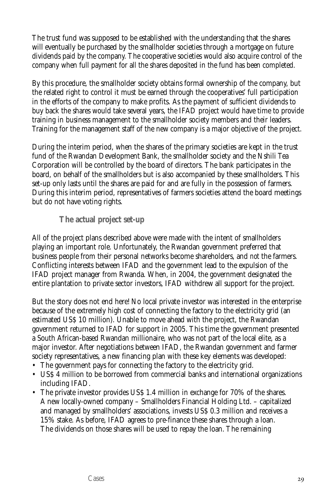The trust fund was supposed to be established with the understanding that the shares will eventually be purchased by the smallholder societies through a mortgage on future dividends paid by the company. The cooperative societies would also acquire control of the company when full payment for all the shares deposited in the fund has been completed.

By this procedure, the smallholder society obtains formal ownership of the company, but the related right to control it must be earned through the cooperatives' full participation in the efforts of the company to make profits. As the payment of sufficient dividends to buy back the shares would take several years, the IFAD project would have time to provide training in business management to the smallholder society members and their leaders. Training for the management staff of the new company is a major objective of the project.

During the interim period, when the shares of the primary societies are kept in the trust fund of the Rwandan Development Bank, the smallholder society and the Nshili Tea Corporation will be controlled by the board of directors. The bank participates in the board, on behalf of the smallholders but is also accompanied by these smallholders. This set-up only lasts until the shares are paid for and are fully in the possession of farmers. During this interim period, representatives of farmers societies attend the board meetings but do not have voting rights.

**The actual project set-up**

All of the project plans described above were made with the intent of smallholders playing an important role. Unfortunately, the Rwandan government preferred that business people from their personal networks become shareholders, and *not* the farmers. Conflicting interests between IFAD and the government lead to the expulsion of the IFAD project manager from Rwanda. When, in 2004, the government designated the entire plantation to private sector investors, IFAD withdrew all support for the project.

But the story does not end here! No local private investor was interested in the enterprise because of the extremely high cost of connecting the factory to the electricity grid (an estimated US\$ 10 million). Unable to move ahead with the project, the Rwandan government returned to IFAD for support in 2005. This time the government presented a South African-based Rwandan millionaire, who was not part of the local elite, as a major investor. After negotiations between IFAD, the Rwandan government and farmer society representatives, a new financing plan with these key elements was developed:

- The government pays for connecting the factory to the electricity grid.
- US\$ 4 million to be borrowed from commercial banks and international organizations including IFAD.
- The private investor provides US\$ 1.4 million in exchange for 70% of the shares. A new locally-owned company – Smallholders Financial Holding Ltd. – capitalized and managed by smallholders' associations, invests US\$ 0.3 million and receives a 15% stake. As before, IFAD agrees to pre-finance these shares through a loan. The dividends on those shares will be used to repay the loan. The remaining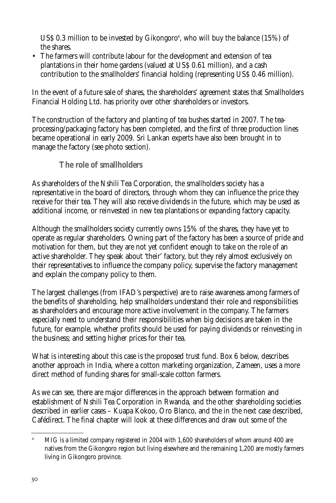US\$ 0.3 million to be invested by Gikongoro<sup>4</sup>, who will buy the balance (15%) of the shares.

• The farmers will contribute labour for the development and extension of tea plantations in their home gardens (valued at US\$ 0.61 million), and a cash contribution to the smallholders' financial holding (representing US\$ 0.46 million).

In the event of a future sale of shares, the shareholders' agreement states that Smallholders Financial Holding Ltd. has priority over other shareholders or investors.

The construction of the factory and planting of tea bushes started in 2007. The teaprocessing/packaging factory has been completed, and the first of three production lines became operational in early 2009. Sri Lankan experts have also been brought in to manage the factory (see photo section).

**The role of smallholders** 

As shareholders of the Nshili Tea Corporation, the smallholders society has a representative in the board of directors, through whom they can influence the price they receive for their tea. They will also receive dividends in the future, which may be used as additional income, or reinvested in new tea plantations or expanding factory capacity.

Although the smallholders society currently owns 15% of the shares, they have yet to operate as regular shareholders. Owning part of the factory has been a source of pride and motivation for them, but they are not yet confident enough to take on the role of an active shareholder. They speak about 'their' factory, but they rely almost exclusively on their representatives to influence the company policy, supervise the factory management and explain the company policy to them.

The largest challenges (from IFAD's perspective) are to raise awareness among farmers of the benefits of shareholding, help smallholders understand their role and responsibilities as shareholders and encourage more active involvement in the company. The farmers especially need to understand their responsibilities when big decisions are taken in the future, for example, whether profits should be used for paying dividends or reinvesting in the business; and setting higher prices for their tea.

What is interesting about this case is the proposed trust fund. Box 6 below, describes another approach in India, where a cotton marketing organization, Zameen, uses a more direct method of funding shares for small-scale cotton farmers.

As we can see, there are major differences in the approach between formation and establishment of Nshili Tea Corporation in Rwanda, and the other shareholding societies described in earlier cases – Kuapa Kokoo, Oro Blanco, and the in the next case described, Cafédirect. The final chapter will look at these differences and draw out some of the

<sup>4</sup> MIG is a limited company registered in 2004 with 1,600 shareholders of whom around 400 are natives from the Gikongoro region but living elsewhere and the remaining 1,200 are mostly farmers living in Gikongoro province.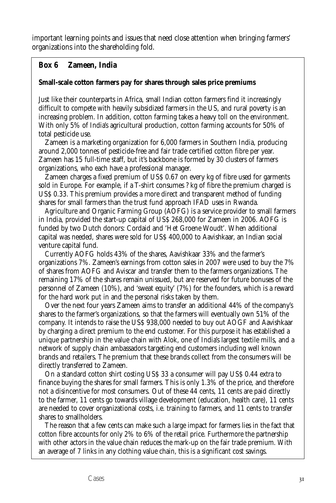important learning points and issues that need close attention when bringing farmers' organizations into the shareholding fold.

## **Box 6 Zameen, India**

#### **Small-scale cotton farmers pay for shares through sales price premiums**

Just like their counterparts in Africa, small Indian cotton farmers find it increasingly difficult to compete with heavily subsidized farmers in the US, and rural poverty is an increasing problem. In addition, cotton farming takes a heavy toll on the environment. With only 5% of India's agricultural production, cotton farming accounts for 50% of total pesticide use.

Zameen is a marketing organization for 6,000 farmers in Southern India, producing around 2,000 tonnes of pesticide-free and fair trade certified cotton fibre per year. Zameen has 15 full-time staff, but it's backbone is formed by 30 clusters of farmers organizations, who each have a professional manager.

Zameen charges a fixed premium of US\$ 0.67 on every kg of fibre used for garments sold in Europe. For example, if a T-shirt consumes ? kg of fibre the premium charged is US\$ 0.33. This premium provides a more direct and transparent method of funding shares for small farmers than the trust fund approach IFAD uses in Rwanda.

Agriculture and Organic Farming Group (AOFG) is a service provider to small farmers in India, provided the start-up capital of US\$ 268,000 for Zameen in 2006. AOFG is funded by two Dutch donors: Cordaid and 'Het Groene Woudt'. When additional capital was needed, shares were sold for US\$ 400,000 to Aavishkaar, an Indian social venture capital fund.

Currently AOFG holds 43% of the shares, Aavishkaar 33% and the farmer's organizations 7%. Zameen's earnings from cotton sales in 2007 were used to buy the 7% of shares from AOFG and Aviscar and transfer them to the farmers organizations. The remaining 17% of the shares remain unissued, but are reserved for future bonuses of the personnel of Zameen (10%), and 'sweat equity' (7%) for the founders, which is a reward for the hard work put in and the personal risks taken by them.

Over the next four years Zameen aims to transfer an additional 44% of the company's shares to the farmer's organizations, so that the farmers will eventually own 51% of the company. It intends to raise the US\$ 938,000 needed to buy out AOGF and Aavishkaar by charging a direct premium to the end customer. For this purpose it has established a unique partnership in the value chain with Alok, one of India's largest textile mills, and a network of supply chain ambassadors targeting end customers including well known brands and retailers. The premium that these brands collect from the consumers will be directly transferred to Zameen.

On a standard cotton shirt costing US\$ 33 a consumer will pay US\$ 0.44 extra to finance buying the shares for small farmers. This is only 1.3% of the price, and therefore not a disincentive for most consumers. Out of these 44 cents, 11 cents are paid directly to the farmer, 11 cents go towards village development (education, health care), 11 cents are needed to cover organizational costs, i.e. training to farmers, and 11 cents to transfer shares to smallholders.

The reason that a few cents can make such a large impact for farmers lies in the fact that cotton fibre accounts for only 2% to 6% of the retail price. Furthermore the partnership with other actors in the value chain reduces the mark-up on the fair trade premium. With an average of 7 links in any clothing value chain, this is a significant cost savings.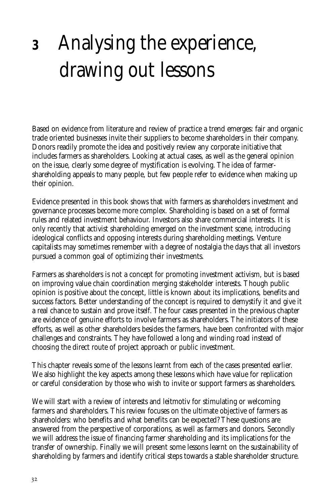## **<sup>3</sup>** Analysing the experience, drawing out lessons

Based on evidence from literature and review of practice a trend emerges: fair and organic trade oriented businesses invite their suppliers to become shareholders in their company. Donors readily promote the idea and positively review any corporate initiative that includes farmers as shareholders. Looking at actual cases, as well as the general opinion on the issue, clearly some degree of mystification is evolving. The idea of farmershareholding appeals to many people, but few people refer to evidence when making up their opinion.

Evidence presented in this book shows that with farmers as shareholders investment and governance processes become more complex. Shareholding is based on a set of formal rules and related investment behaviour. Investors also share commercial interests. It is only recently that activist shareholding emerged on the investment scene, introducing ideological conflicts and opposing interests during shareholding meetings. Venture capitalists may sometimes remember with a degree of nostalgia the days that all investors pursued a common goal of optimizing their investments.

Farmers as shareholders is not a concept for promoting investment activism, but is based on improving value chain coordination merging stakeholder interests. Though public opinion is positive about the concept, little is known about its implications, benefits and success factors. Better understanding of the concept is required to demystify it and give it a real chance to sustain and prove itself. The four cases presented in the previous chapter are evidence of genuine efforts to involve farmers as shareholders. The initiators of these efforts, as well as other shareholders besides the farmers, have been confronted with major challenges and constraints. They have followed a long and winding road instead of choosing the direct route of project approach or public investment.

This chapter reveals some of the lessons learnt from each of the cases presented earlier. We also highlight the key aspects among these lessons which have value for replication or careful consideration by those who wish to invite or support farmers as shareholders.

We will start with a review of interests and leitmotiv for stimulating or welcoming farmers and shareholders. This review focuses on the ultimate objective of farmers as shareholders: who benefits and what benefits can be expected? These questions are answered from the perspective of corporations, as well as farmers and donors. Secondly we will address the issue of financing farmer shareholding and its implications for the transfer of ownership. Finally we will present some lessons learnt on the sustainability of shareholding by farmers and identify critical steps towards a stable shareholder structure.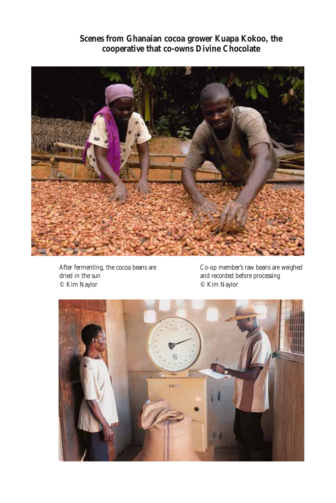**Scenes from Ghanaian cocoa grower Kuapa Kokoo, the cooperative that co-owns Divine Chocolate**



After fermenting, the cocoa beans are dried in the sun © Kim Naylor

Co-op member's raw beans are weighed and recorded before processing © Kim Naylor

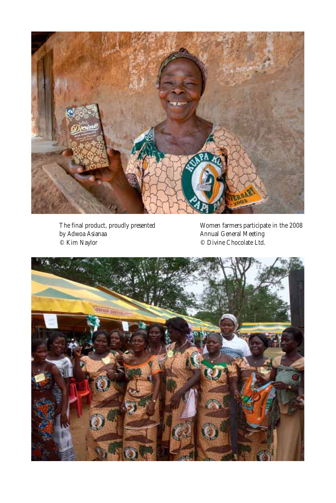

The final product, proudly presented by Adwoa Asianaa © Kim Naylor

Women farmers participate in the 2008 Annual General Meeting © Divine Chocolate Ltd.

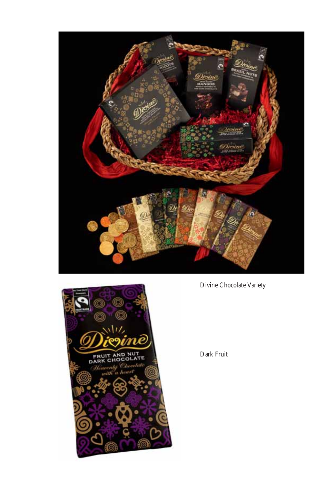



Divine Chocolate Variety

Dark Fruit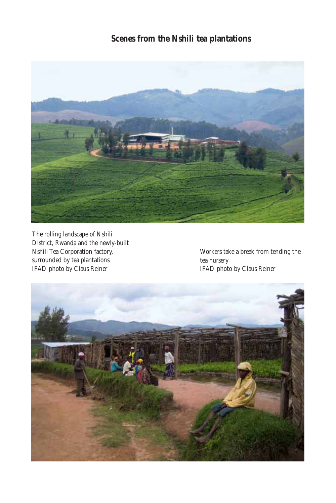## **Scenes from the Nshili tea plantations**



The rolling landscape of Nshili District, Rwanda and the newly-built Nshili Tea Corporation factory, surrounded by tea plantations IFAD photo by Claus Reiner

Workers take a break from tending the tea nursery IFAD photo by Claus Reiner

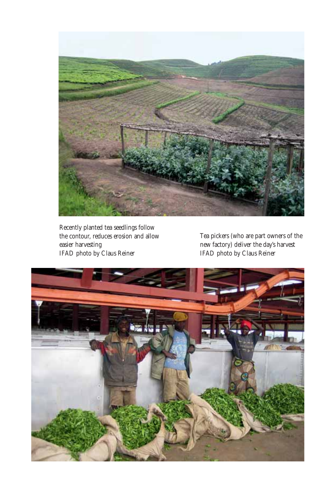

Recently planted tea seedlings follow the contour, reduces erosion and allow easier harvesting IFAD photo by Claus Reiner

Tea pickers (who are part owners of the new factory) deliver the day's harvest IFAD photo by Claus Reiner

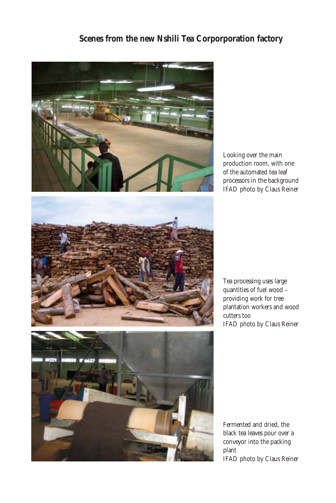## **Scenes from the new Nshili Tea Corporporation factory**



Looking over the main production room, with one of the automated tea leaf processors in the background IFAD photo by Claus Reiner



Tea processing uses large quantities of fuel wood – providing work for tree plantation workers and wood cutters too IFAD photo by Claus Reiner

plant

Fermented and dried, the black tea leaves pour over a conveyor into the packing IFAD photo by Claus Reiner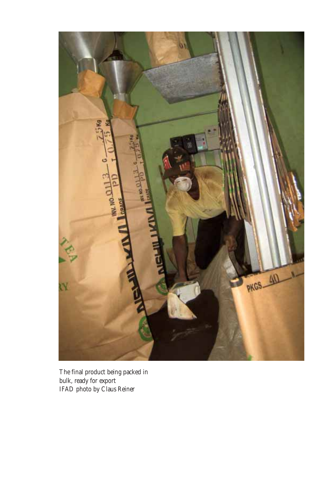

The final product being packed in bulk, ready for export IFAD photo by Claus Reiner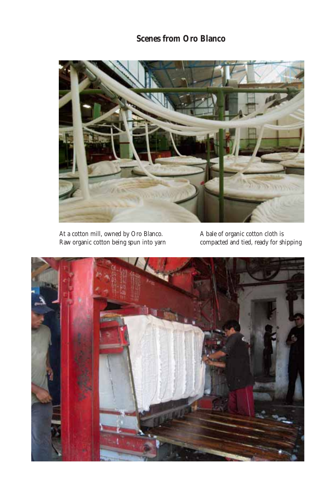## **Scenes from Oro Blanco**



At a cotton mill, owned by Oro Blanco. Raw organic cotton being spun into yarn

A bale of organic cotton cloth is compacted and tied, ready for shipping

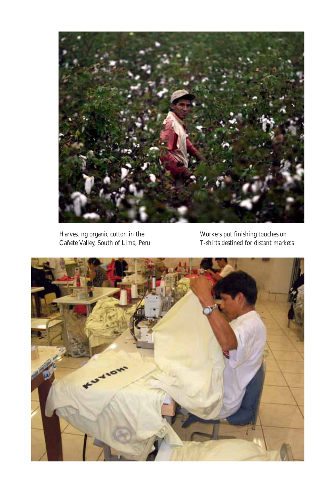

Harvesting organic cotton in the Cañete Valley, South of Lima, Peru

Workers put finishing touches on T-shirts destined for distant markets

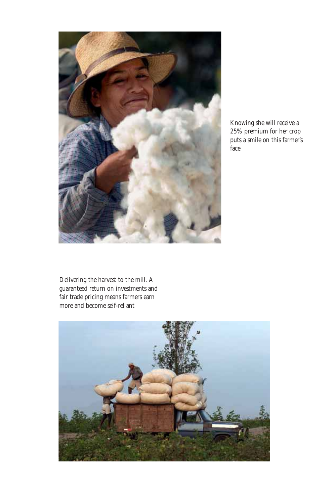

Knowing she will receive a 25% premium for her crop puts a smile on this farmer's face

Delivering the harvest to the mill. A guaranteed return on investments and fair trade pricing means farmers earn more and become self-reliant

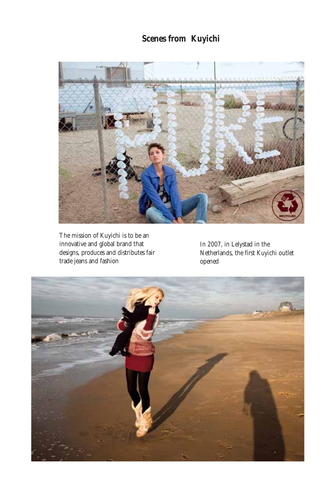## **Scenes from Kuyichi**



The mission of Kuyichi is to be an innovative and global brand that designs, produces and distributes fair trade jeans and fashion

In 2007, in Lelystad in the Netherlands, the first Kuyichi outlet opened

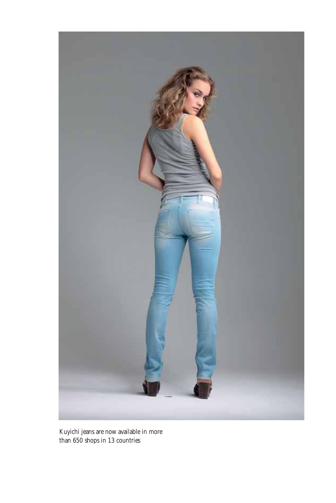

Kuyichi jeans are now available in more than 650 shops in 13 countries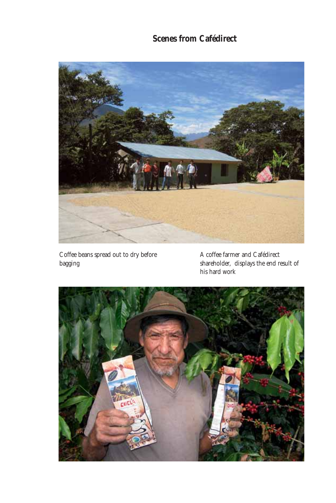## **Scenes from Cafédirect**



Coffee beans spread out to dry before bagging

A coffee farmer and Cafédirect shareholder, displays the end result of his hard work

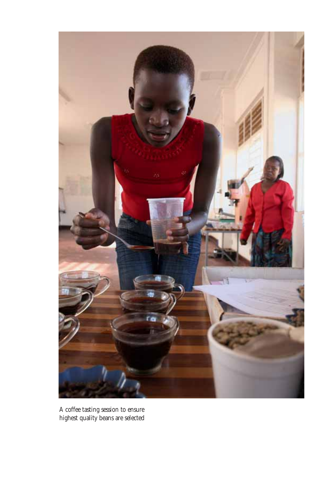

A coffee tasting session to ensure highest quality beans are selected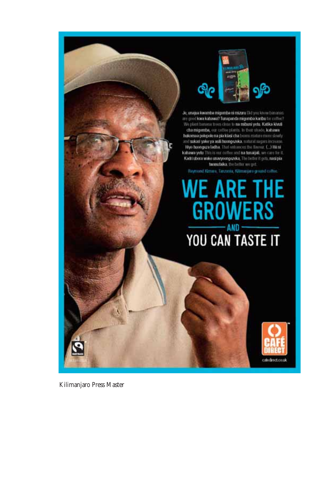

Je, unajua kwamba migomba ni mizuru Did you know bananas are good kwa kabawa? Tunapanda migumba karibu to coffee? We plant boronta trass close to na mibuni yelu. Katika kiwili cha migumba, our coffee plants. In their stude, kabawa hukomaa polepole na pia kiasi cha buum matuu mutu slowly and sukari yake ya asili huongazeka, naturai nupers increase.<br>Hiyo huongaza ladha. That ontonoes the flavour C.) Hii ni kahawa yetu This is our coffee and na tunaijali, we care for it Kadri ubora wake unavyoongezeka, The better it gets, nasi pia.<br>Iwanubiika, the better we get.

Raymond Kimaro, Tanzania, Kilimanjaro ground coffee

## WE ARE THE **GROWERS**  $-MD -$ YOU CAN TASTE IT



Kilimanjaro Press Master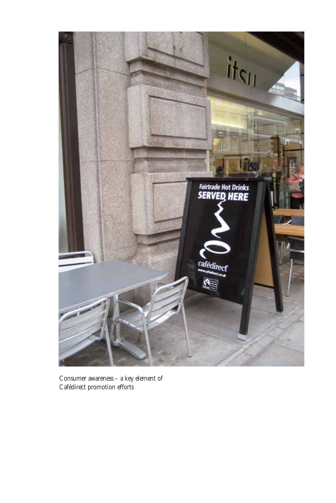

Consumer awareness – a key element of Cafédirect promotion efforts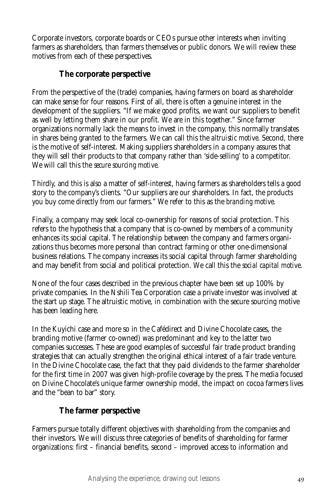Corporate investors, corporate boards or CEOs pursue other interests when inviting farmers as shareholders, than farmers themselves or public donors. We will review these motives from each of these perspectives.

## **The corporate perspective**

From the perspective of the (trade) companies, having farmers on board as shareholder can make sense for four reasons. First of all, there is often a genuine interest in the development of the suppliers. "If we make good profits, we want our suppliers to benefit as well by letting them share in our profit. We are in this together." Since farmer organizations normally lack the means to invest in the company, this normally translates in shares being granted to the farmers. We can call this the *altruistic motive*. Second, there is the motive of self-interest. Making suppliers shareholders in a company assures that they will sell their products to that company rather than 'side-selling' to a competitor. We will call this the *secure sourcing motive*.

Thirdly, and this is also a matter of self-interest, having farmers as shareholders tells a good story to the company's clients. "Our suppliers are our shareholders. In fact, the products you buy come directly from our farmers." We refer to this as the *branding motive*.

Finally, a company may seek local co-ownership for reasons of social protection. This refers to the hypothesis that a company that is co-owned by members of a community enhances its social capital. The relationship between the company and farmers organizations thus becomes more personal than contract farming or other one-dimensional business relations. The company increases its social capital through farmer shareholding and may benefit from social and political protection. We call this the *social capital motive*.

None of the four cases described in the previous chapter have been set up 100% by private companies. In the Nshili Tea Corporation case a private investor was involved at the start up stage. The altruistic motive, in combination with the secure sourcing motive has been leading here.

In the Kuyichi case and more so in the Cafédirect and Divine Chocolate cases, the branding motive (farmer co-owned) was predominant and key to the latter two companies successes. These are good examples of successful fair trade product branding strategies that can actually strengthen the original ethical interest of a fair trade venture. In the Divine Chocolate case, the fact that they paid dividends to the farmer shareholder for the first time in 2007 was given high-profile coverage by the press. The media focused on Divine Chocolate's unique farmer ownership model, the impact on cocoa farmers lives and the "bean to bar" story.

## **The farmer perspective**

Farmers pursue totally different objectives with shareholding from the companies and their investors. We will discuss three categories of benefits of shareholding for farmer organizations: first – financial benefits, second – improved access to information and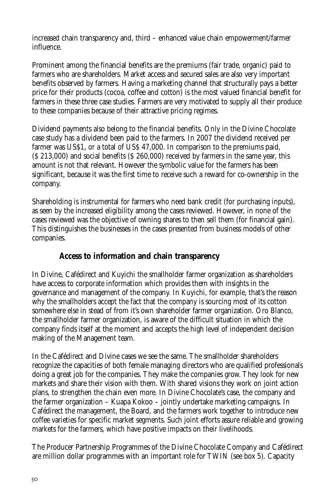increased chain transparency and, third – enhanced value chain empowerment/farmer influence.

Prominent among the financial benefits are the premiums (fair trade, organic) paid to farmers who are shareholders. Market access and secured sales are also very important benefits observed by farmers. Having a marketing channel that structurally pays a better price for their products (cocoa, coffee and cotton) is the most valued financial benefit for farmers in these three case studies. Farmers are very motivated to supply all their produce to these companies because of their attractive pricing regimes.

Dividend payments also belong to the financial benefits. Only in the Divine Chocolate case study has a dividend been paid to the farmers. In 2007 the dividend received per farmer was US\$1, or a total of US\$ 47,000. In comparison to the premiums paid, (\$ 213,000) and social benefits (\$ 260,000) received by farmers in the same year, this amount is not that relevant. However the symbolic value for the farmers has been significant, because it was the first time to receive such a reward for co-ownership in the company.

Shareholding is instrumental for farmers who need bank credit (for purchasing inputs), as seen by the increased eligibility among the cases reviewed. However, in none of the cases reviewed was the objective of owning shares to then sell them (for financial gain). This distinguishes the businesses in the cases presented from business models of other companies.

## **Access to information and chain transparency**

In Divine, Cafédirect and Kuyichi the smallholder farmer organization as shareholders have access to corporate information which provides them with insights in the governance and management of the company. In Kuyichi, for example, that's the reason why the smallholders accept the fact that the company is sourcing most of its cotton somewhere else in stead of from it's own shareholder farmer organization. Oro Blanco, the smallholder farmer organization, is aware of the difficult situation in which the company finds itself at the moment and accepts the high level of independent decision making of the Management team.

In the Cafédirect and Divine cases we see the same. The smallholder shareholders recognize the capacities of both female managing directors who are qualified professionals doing a great job for the companies. They make the companies grow. They look for new markets and share their vision with them. With shared visions they work on joint action plans, to strengthen the chain even more. In Divine Chocolate's case, the company and the farmer organization – Kuapa Kokoo – jointly undertake marketing campaigns. In Cafédirect the management, the Board, and the farmers work together to introduce new coffee varieties for specific market segments. Such joint efforts assure reliable and growing markets for the farmers, which have positive impacts on their livelihoods.

The Producer Partnership Programmes of the Divine Chocolate Company and Cafédirect are million dollar programmes with an important role for TWIN (see box 5). Capacity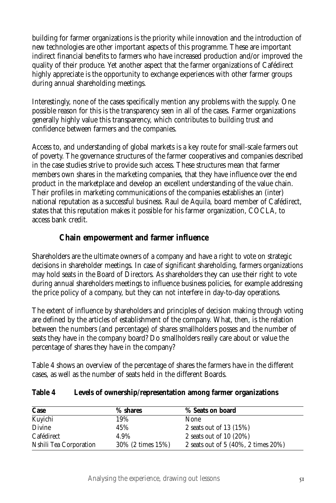building for farmer organizations is the priority while innovation and the introduction of new technologies are other important aspects of this programme. These are important indirect financial benefits to farmers who have increased production and/or improved the quality of their produce. Yet another aspect that the farmer organizations of Cafédirect highly appreciate is the opportunity to exchange experiences with other farmer groups during annual shareholding meetings.

Interestingly, none of the cases specifically mention any problems with the supply. One possible reason for this is the transparency seen in all of the cases. Farmer organizations generally highly value this transparency, which contributes to building trust and confidence between farmers and the companies.

Access to, and understanding of global markets is a key route for small-scale farmers out of poverty. The governance structures of the farmer cooperatives and companies described in the case studies strive to provide such access. These structures mean that farmer members own shares in the marketing companies, that they have influence over the end product in the marketplace and develop an excellent understanding of the value chain. Their profiles in marketing communications of the companies establishes an (inter) national reputation as a successful business. Raul de Aquila, board member of Cafédirect, states that this reputation makes it possible for his farmer organization, COCLA, to access bank credit.

## **Chain empowerment and farmer influence**

Shareholders are the ultimate owners of a company and have a right to vote on strategic decisions in shareholder meetings. In case of significant shareholding, farmers organizations may hold seats in the Board of Directors. As shareholders they can use their right to vote during annual shareholders meetings to influence business policies, for example addressing the price policy of a company, but they can not interfere in day-to-day operations.

The extent of influence by shareholders and principles of decision making through voting are defined by the articles of establishment of the company. What, then, is the relation between the numbers (and percentage) of shares smallholders posses and the number of seats they have in the company board? Do smallholders really care about or value the percentage of shares they have in the company?

Table 4 shows an overview of the percentage of shares the farmers have in the different cases, as well as the number of seats held in the different Boards.

### **Table 4 Levels of ownership/representation among farmer organizations**

| Case                   | % shares          | % Seats on board                    |
|------------------------|-------------------|-------------------------------------|
| Kuyichi                | 19%               | None                                |
| Divine                 | 45%               | 2 seats out of 13 $(15%)$           |
| <b>Cafédirect</b>      | 4.9%              | 2 seats out of 10 $(20\%)$          |
| Nshili Tea Corporation | 30% (2 times 15%) | 2 seats out of 5 (40%, 2 times 20%) |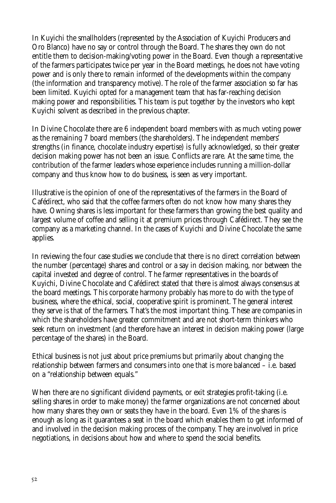In Kuyichi the smallholders (represented by the Association of Kuyichi Producers and Oro Blanco) have no say or control through the Board. The shares they own do not entitle them to decision-making/voting power in the Board. Even though a representative of the farmers participates twice per year in the Board meetings, he does not have voting power and is only there to remain informed of the developments within the company (the information and transparency motive). The role of the farmer association so far has been limited. Kuyichi opted for a management team that has far-reaching decision making power and responsibilities. This team is put together by the investors who kept Kuyichi solvent as described in the previous chapter.

In Divine Chocolate there are 6 independent board members with as much voting power as the remaining 7 board members (the shareholders). The independent members' strengths (in finance, chocolate industry expertise) is fully acknowledged, so their greater decision making power has not been an issue. Conflicts are rare. At the same time, the contribution of the farmer leaders whose experience includes running a million-dollar company and thus know how to do business, is seen as very important.

Illustrative is the opinion of one of the representatives of the farmers in the Board of Cafédirect, who said that the coffee farmers often do not know how many shares they have. Owning shares is less important for these farmers than growing the best quality and largest volume of coffee and selling it at premium prices through Cafédirect. They see the company as a marketing channel. In the cases of Kuyichi and Divine Chocolate the same applies.

In reviewing the four case studies we conclude that there is no direct correlation between the number (percentage) shares and control or a say in decision making, nor between the capital invested and degree of control. The farmer representatives in the boards of Kuyichi, Divine Chocolate and Cafédirect stated that there is almost always consensus at the board meetings. This corporate harmony probably has more to do with the type of business, where the ethical, social, cooperative spirit is prominent. The general interest they serve is that of the farmers. That's the most important thing. These are companies in which the shareholders have greater commitment and are not short-term thinkers who seek return on investment (and therefore have an interest in decision making power (large percentage of the shares) in the Board.

Ethical business is not just about price premiums but primarily about changing the relationship between farmers and consumers into one that is more balanced – i.e. based on a "relationship between equals."

When there are no significant dividend payments, or exit strategies profit-taking (i.e. selling shares in order to make money) the farmer organizations are not concerned about how many shares they own or seats they have in the board. Even 1% of the shares is enough as long as it guarantees a seat in the board which enables them to get informed of and involved in the decision making process of the company. They are involved in price negotiations, in decisions about how and where to spend the social benefits.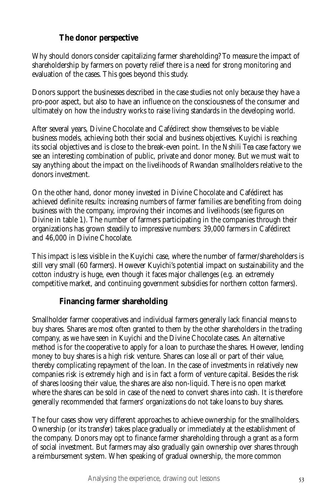## **The donor perspective**

Why should donors consider capitalizing farmer shareholding? To measure the impact of shareholdership by farmers on poverty relief there is a need for strong monitoring and evaluation of the cases. This goes beyond this study.

Donors support the businesses described in the case studies not only because they have a pro-poor aspect, but also to have an influence on the consciousness of the consumer and ultimately on how the industry works to raise living standards in the developing world.

After several years, Divine Chocolate and Cafédirect show themselves to be viable business models, achieving both their social and business objectives. Kuyichi is reaching its social objectives and is close to the break-even point. In the Nshili Tea case factory we see an interesting combination of public, private and donor money. But we must wait to say anything about the impact on the livelihoods of Rwandan smallholders relative to the donors investment.

On the other hand, donor money invested in Divine Chocolate and Cafédirect has achieved definite results: increasing numbers of farmer families are benefiting from doing business with the company, improving their incomes and livelihoods (see figures on Divine in table 1). The number of farmers participating in the companies through their organizations has grown steadily to impressive numbers: 39,000 farmers in Cafédirect and 46,000 in Divine Chocolate.

This impact is less visible in the Kuyichi case, where the number of farmer/shareholders is still very small (60 farmers). However Kuyichi's potential impact on sustainability and the cotton industry is huge, even though it faces major challenges (e.g. an extremely competitive market, and continuing government subsidies for northern cotton farmers).

## **Financing farmer shareholding**

Smallholder farmer cooperatives and individual farmers generally lack financial means to buy shares. Shares are most often granted to them by the other shareholders in the trading company, as we have seen in Kuyichi and the Divine Chocolate cases. An alternative method is for the cooperative to apply for a loan to purchase the shares. However, lending money to buy shares is a high risk venture. Shares can lose all or part of their value, thereby complicating repayment of the loan. In the case of investments in relatively new companies risk is extremely high and is in fact a form of venture capital. Besides the risk of shares loosing their value, the shares are also non-liquid. There is no open market where the shares can be sold in case of the need to convert shares into cash. It is therefore generally recommended that farmers' organizations do not take loans to buy shares.

The four cases show very different approaches to achieve ownership for the smallholders. Ownership (or its transfer) takes place gradually or immediately at the establishment of the company. Donors may opt to finance farmer shareholding through a grant as a form of social investment. But farmers may also gradually gain ownership over shares through a reimbursement system. When speaking of gradual ownership, the more common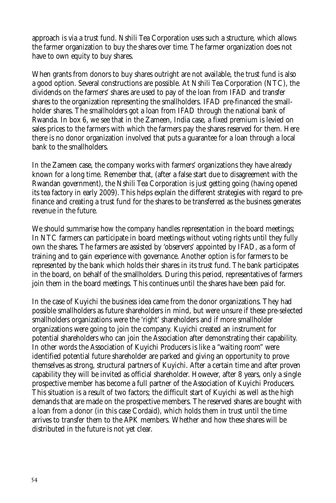approach is via a trust fund. Nshili Tea Corporation uses such a structure, which allows the farmer organization to buy the shares over time. The farmer organization does not have to own equity to buy shares.

When grants from donors to buy shares outright are not available, the trust fund is also a good option. Several constructions are possible. At Nshili Tea Corporation (NTC), the dividends on the farmers' shares are used to pay of the loan from IFAD and transfer shares to the organization representing the smallholders. IFAD pre-financed the smallholder shares. The smallholders got a loan from IFAD through the national bank of Rwanda. In box 6, we see that in the Zameen, India case, a fixed premium is levied on sales prices to the farmers with which the farmers pay the shares reserved for them. Here there is no donor organization involved that puts a guarantee for a loan through a local bank to the smallholders.

In the Zameen case, the company works with farmers' organizations they have already known for a long time. Remember that, (after a false start due to disagreement with the Rwandan government), the Nshili Tea Corporation is just getting going (having opened its tea factory in early 2009). This helps explain the different strategies with regard to prefinance and creating a trust fund for the shares to be transferred as the business generates revenue in the future.

We should summarise how the company handles representation in the board meetings; In NTC farmers can participate in board meetings without voting rights until they fully own the shares. The farmers are assisted by 'observers' appointed by IFAD, as a form of training and to gain experience with governance. Another option is for farmers to be represented by the bank which holds their shares in its trust fund. The bank participates in the board, on behalf of the smallholders. During this period, representatives of farmers join them in the board meetings. This continues until the shares have been paid for.

In the case of Kuyichi the business idea came from the donor organizations. They had possible smallholders as future shareholders in mind, but were unsure if these pre-selected smallholders organizations were the 'right' shareholders and if more smallholder organizations were going to join the company. Kuyichi created an instrument for potential shareholders who can join the Association after demonstrating their capability. In other words the Association of Kuyichi Producers is like a "waiting room" were identified potential future shareholder are parked and giving an opportunity to prove themselves as strong, structural partners of Kuyichi. After a certain time and after proven capability they will be invited as official shareholder. However, after 8 years, only a single prospective member has become a full partner of the Association of Kuyichi Producers. This situation is a result of two factors; the difficult start of Kuyichi as well as the high demands that are made on the prospective members. The reserved shares are bought with a loan from a donor (in this case Cordaid), which holds them in trust until the time arrives to transfer them to the APK members. Whether and how these shares will be distributed in the future is not yet clear.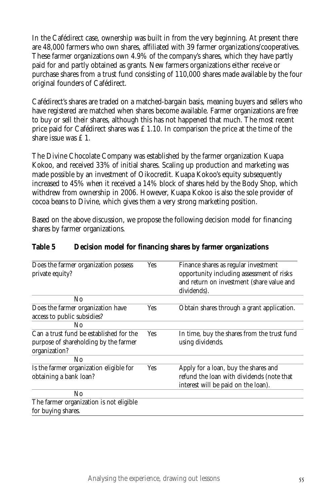In the Cafédirect case, ownership was built in from the very beginning. At present there are 48,000 farmers who own shares, affiliated with 39 farmer organizations/cooperatives. These farmer organizations own 4.9% of the company's shares, which they have partly paid for and partly obtained as grants. New farmers organizations either receive or purchase shares from a trust fund consisting of 110,000 shares made available by the four original founders of Cafédirect.

Cafédirect's shares are traded on a matched-bargain basis, meaning buyers and sellers who have registered are matched when shares become available. Farmer organizations are free to buy or sell their shares, although this has not happened that much. The most recent price paid for Cafédirect shares was  $£ 1.10$ . In comparison the price at the time of the share issue was £ 1.

The Divine Chocolate Company was established by the farmer organization Kuapa Kokoo, and received 33% of initial shares. Scaling up production and marketing was made possible by an investment of Oikocredit. Kuapa Kokoo's equity subsequently increased to 45% when it received a 14% block of shares held by the Body Shop, which withdrew from ownership in 2006. However, Kuapa Kokoo is also the sole provider of cocoa beans to Divine, which gives them a very strong marketing position.

Based on the above discussion, we propose the following decision model for financing shares by farmer organizations.

| Does the farmer organization possess<br>private equity?                                           | Yes        | Finance shares as regular investment<br>opportunity including assessment of risks<br>and return on investment (share value and<br>dividends). |
|---------------------------------------------------------------------------------------------------|------------|-----------------------------------------------------------------------------------------------------------------------------------------------|
| N <sub>0</sub>                                                                                    |            |                                                                                                                                               |
| Does the farmer organization have<br>access to public subsidies?                                  | Yes        | Obtain shares through a grant application.                                                                                                    |
| N <sub>0</sub>                                                                                    |            |                                                                                                                                               |
| Can a trust fund be established for the<br>purpose of shareholding by the farmer<br>organization? | <b>Yes</b> | In time, buy the shares from the trust fund<br>using dividends.                                                                               |
| No.                                                                                               |            |                                                                                                                                               |
| Is the farmer organization eligible for<br>obtaining a bank loan?                                 | Yes        | Apply for a loan, buy the shares and<br>refund the loan with dividends (note that<br>interest will be paid on the loan).                      |
| N <sub>0</sub>                                                                                    |            |                                                                                                                                               |
| The farmer organization is not eligible                                                           |            |                                                                                                                                               |
| for buying shares.                                                                                |            |                                                                                                                                               |

#### **Table 5 Decision model for financing shares by farmer organizations**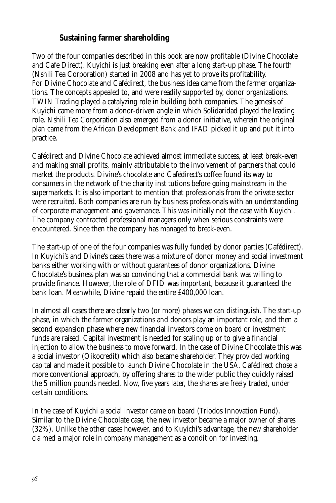## **Sustaining farmer shareholding**

Two of the four companies described in this book are now profitable (Divine Chocolate and Cafe Direct). Kuyichi is just breaking even after a long start-up phase. The fourth (Nshili Tea Corporation) started in 2008 and has yet to prove its profitability. For Divine Chocolate and Cafédirect, the business idea came from the farmer organizations. The concepts appealed to, and were readily supported by, donor organizations. TWIN Trading played a catalyzing role in building both companies. The genesis of Kuyichi came more from a donor-driven angle in which Solidaridad played the leading role. Nshili Tea Corporation also emerged from a donor initiative, wherein the original plan came from the African Development Bank and IFAD picked it up and put it into practice.

Cafédirect and Divine Chocolate achieved almost immediate success, at least break-even and making small profits, mainly attributable to the involvement of partners that could market the products. Divine's chocolate and Cafédirect's coffee found its way to consumers in the network of the charity institutions before going mainstream in the supermarkets. It is also important to mention that professionals from the private sector were recruited. Both companies are run by business professionals with an understanding of corporate management and governance. This was initially not the case with Kuyichi. The company contracted professional managers only when serious constraints were encountered. Since then the company has managed to break-even.

The start-up of one of the four companies was fully funded by donor parties (Cafédirect). In Kuyichi's and Divine's cases there was a mixture of donor money and social investment banks either working with or without guarantees of donor organizations. Divine Chocolate's business plan was so convincing that a commercial bank was willing to provide finance. However, the role of DFID was important, because it guaranteed the bank loan. Meanwhile, Divine repaid the entire £400,000 loan.

In almost all cases there are clearly two (or more) phases we can distinguish. The start-up phase, in which the farmer organizations and donors play an important role, and then a second expansion phase where new financial investors come on board or investment funds are raised. Capital investment is needed for scaling up or to give a financial injection to allow the business to move forward. In the case of Divine Chocolate this was a social investor (Oikocredit) which also became shareholder. They provided working capital and made it possible to launch Divine Chocolate in the USA. Cafédirect chose a more conventional approach, by offering shares to the wider public they quickly raised the 5 million pounds needed. Now, five years later, the shares are freely traded, under certain conditions.

In the case of Kuyichi a social investor came on board (Triodos Innovation Fund). Similar to the Divine Chocolate case, the new investor became a major owner of shares (32%). Unlike the other cases however, and to Kuyichi's advantage, the new shareholder claimed a major role in company management as a condition for investing.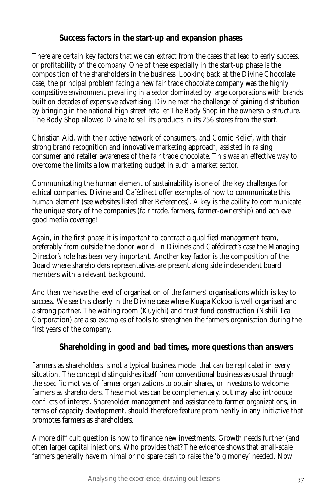## **Success factors in the start-up and expansion phases**

There are certain key factors that we can extract from the cases that lead to early success, or profitability of the company. One of these especially in the start-up phase is the composition of the shareholders in the business. Looking back at the Divine Chocolate case, the principal problem facing a new fair trade chocolate company was the highly competitive environment prevailing in a sector dominated by large corporations with brands built on decades of expensive advertising. Divine met the challenge of gaining distribution by bringing in the national high street retailer The Body Shop in the ownership structure. The Body Shop allowed Divine to sell its products in its 256 stores from the start.

Christian Aid, with their active network of consumers, and Comic Relief, with their strong brand recognition and innovative marketing approach, assisted in raising consumer and retailer awareness of the fair trade chocolate. This was an effective way to overcome the limits a low marketing budget in such a market sector.

Communicating the human element of sustainability is one of the key challenges for ethical companies. Divine and Cafédirect offer examples of how to communicate this human element (see websites listed after References). A key is the ability to communicate the unique story of the companies (fair trade, farmers, farmer-ownership) and achieve good media coverage!

Again, in the first phase it is important to contract a qualified management team, preferably from outside the donor world. In Divine's and Cafédirect's case the Managing Director's role has been very important. Another key factor is the composition of the Board where shareholders representatives are present along side independent board members with a relevant background.

And then we have the level of organisation of the farmers' organisations which is key to success. We see this clearly in the Divine case where Kuapa Kokoo is well organised and a strong partner. The waiting room (Kuyichi) and trust fund construction (Nshili Tea Corporation) are also examples of tools to strengthen the farmers organisation during the first years of the company.

## **Shareholding in good and bad times, more questions than answers**

Farmers as shareholders is not a typical business model that can be replicated in every situation. The concept distinguishes itself from conventional business-as-usual through the specific motives of farmer organizations to obtain shares, or investors to welcome farmers as shareholders. These motives can be complementary, but may also introduce conflicts of interest. Shareholder management and assistance to farmer organizations, in terms of capacity development, should therefore feature prominently in any initiative that promotes farmers as shareholders.

A more difficult question is how to finance new investments. Growth needs further (and often large) capital injections. Who provides that? The evidence shows that small-scale farmers generally have minimal or no spare cash to raise the 'big money' needed. Now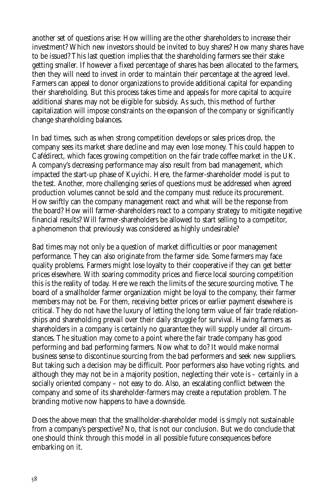another set of questions arise: How willing are the other shareholders to increase their investment? Which new investors should be invited to buy shares? How many shares have to be issued? This last question implies that the shareholding farmers see their stake getting smaller. If however a fixed percentage of shares has been allocated to the farmers, then they will need to invest in order to maintain their percentage at the agreed level. Farmers can appeal to donor organizations to provide additional capital for expanding their shareholding. But this process takes time and appeals for more capital to acquire additional shares may not be eligible for subsidy. As such, this method of further capitalization will impose constraints on the expansion of the company or significantly change shareholding balances.

In bad times, such as when strong competition develops or sales prices drop, the company sees its market share decline and may even lose money. This could happen to Cafédirect, which faces growing competition on the fair trade coffee market in the UK. A company's decreasing performance may also result from bad management, which impacted the start-up phase of Kuyichi. Here, the farmer-shareholder model is put to the test. Another, more challenging series of questions must be addressed when agreed production volumes cannot be sold and the company must reduce its procurement. How swiftly can the company management react and what will be the response from the board? How will farmer-shareholders react to a company strategy to mitigate negative financial results? Will farmer-shareholders be allowed to start selling to a competitor, a phenomenon that previously was considered as highly undesirable?

Bad times may not only be a question of market difficulties or poor management performance. They can also originate from the farmer side. Some farmers may face quality problems. Farmers might lose loyalty to their cooperative if they can get better prices elsewhere. With soaring commodity prices and fierce local sourcing competition this is the reality of today. Here we reach the limits of the secure sourcing motive. The board of a smallholder farmer organization might be loyal to the company, their farmer members may not be. For them, receiving better prices or earlier payment elsewhere is critical. They do not have the luxury of letting the long term value of fair trade relationships and shareholding prevail over their daily struggle for survival. Having farmers as shareholders in a company is certainly no guarantee they will supply under all circumstances. The situation may come to a point where the fair trade company has good performing and bad performing farmers. Now what to do? It would make normal business sense to discontinue sourcing from the bad performers and seek new suppliers. But taking such a decision may be difficult. Poor performers also have voting rights. and although they may not be in a majority position, neglecting their vote is – certainly in a socially oriented company – not easy to do. Also, an escalating conflict between the company and some of its shareholder-farmers may create a reputation problem. The branding motive now happens to have a downside.

Does the above mean that the smallholder-shareholder model is simply not sustainable from a company's perspective? No, that is not our conclusion. But we do conclude that one should think through this model in all possible future consequences before embarking on it.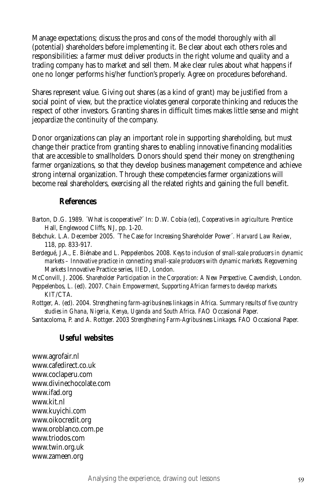Manage expectations; discuss the pros and cons of the model thoroughly with all (potential) shareholders before implementing it. Be clear about each others roles and responsibilities: a farmer must deliver products in the right volume and quality and a trading company has to market and sell them. Make clear rules about what happens if one no longer performs his/her function's properly. Agree on procedures beforehand.

Shares represent value. Giving out shares (as a kind of grant) may be justified from a social point of view, but the practice violates general corporate thinking and reduces the respect of other investors. Granting shares in difficult times makes little sense and might jeopardize the continuity of the company.

Donor organizations can play an important role in supporting shareholding, but must change their practice from granting shares to enabling innovative financing modalities that are accessible to smallholders. Donors should spend their money on strengthening farmer organizations, so that they develop business management competence and achieve strong internal organization. Through these competencies farmer organizations will become real shareholders, exercising all the related rights and gaining the full benefit.

#### **References**

- Barton, D.G. 1989. ´What is cooperative?´ In: D.W. Cobia (ed), *Cooperatives in agriculture*. Prentice Hall, Englewood Cliffs, NJ, pp. 1-20.
- Bebchuk. L.A. December 2005. ´The Case for Increasing Shareholder Power´. *Harvard Law Review*, 118, pp. 833-917.
- Berdegué, J.A., E. Biénabe and L. Peppelenbos. 2008. *Keys to inclusion of small-scale producers in dynamic markets – Innovative practice in connecting small-scale producers with dynamic markets*. Regoverning Markets Innovative Practice series, IIED, London.

McConvill, J. 2006. *Shareholder Participation in the Corporation: A New Perspective*. Cavendish, London. Peppelenbos, L. (ed). 2007. *Chain Empowerment, Supporting African farmers to develop markets.* KIT/CTA.

Rottger, A. (ed). 2004. *Strengthening farm-agribusiness linkages in Africa. Summary results of five country studies in Ghana, Nigeria, Kenya, Uganda and South Africa*. FAO Occasional Paper.

Santacoloma, P. and A. Rottger. 2003 *Strengthening Farm-Agribusiness Linkages*. FAO Occasional Paper.

### **Useful websites**

www.agrofair.nl www.cafedirect.co.uk www.coclaperu.com www.divinechocolate.com www.ifad.org www.kit.nl www.kuyichi.com www.oikocredit.org www.oroblanco.com.pe www.triodos.com www.twin.org.uk www.zameen.org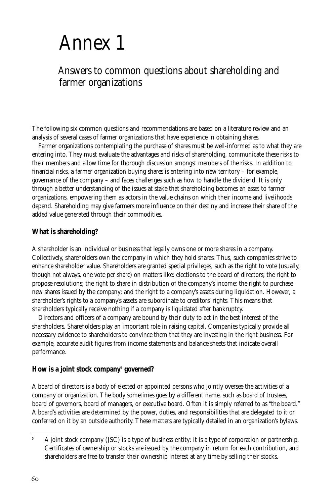## Annex 1

## Answers to common questions about shareholding and farmer organizations

The following six common questions and recommendations are based on a literature review and an analysis of several cases of farmer organizations that have experience in obtaining shares.

Farmer organizations contemplating the purchase of shares must be well-informed as to what they are entering into. They must evaluate the advantages and risks of shareholding, communicate these risks to their members and allow time for thorough discussion amongst members of the risks. In addition to financial risks, a farmer organization buying shares is entering into new territory – for example, governance of the company – and faces challenges such as how to handle the dividend. It is only through a better understanding of the issues at stake that shareholding becomes an asset to farmer organizations, empowering them as actors in the value chains on which their income and livelihoods depend. Shareholding may give farmers more influence on their destiny and increase their share of the added value generated through their commodities.

#### **What is shareholding?**

A shareholder is an individual or business that legally owns one or more shares in a company. Collectively, shareholders own the company in which they hold shares. Thus, such companies strive to enhance shareholder value. Shareholders are granted special privileges, such as the right to vote (usually, though not always, one vote per share) on matters like: elections to the board of directors; the right to propose resolutions; the right to share in distribution of the company's income; the right to purchase new shares issued by the company; and the right to a company's assets during liquidation. However, a shareholder's rights to a company's assets are subordinate to creditors' rights. This means that shareholders typically receive nothing if a company is liquidated after bankruptcy.

Directors and officers of a company are bound by their duty to act in the best interest of the shareholders. Shareholders play an important role in raising capital. Companies typically provide all necessary evidence to shareholders to convince them that they are investing in the right business. For example, accurate audit figures from income statements and balance sheets that indicate overall performance.

#### **How is a joint stock company5 governed?**

A board of directors is a body of elected or appointed persons who jointly oversee the activities of a company or organization. The body sometimes goes by a different name, such as board of trustees, board of governors, board of managers, or executive board. Often it is simply referred to as "the board." A board's activities are determined by the power, duties, and responsibilities that are delegated to it or conferred on it by an outside authority. These matters are typically detailed in an organization's bylaws.

<sup>&</sup>lt;sup>5</sup> A joint stock company (JSC) is a type of business entity: it is a type of corporation or partnership. Certificates of ownership or stocks are issued by the company in return for each contribution, and shareholders are free to transfer their ownership interest at any time by selling their stocks.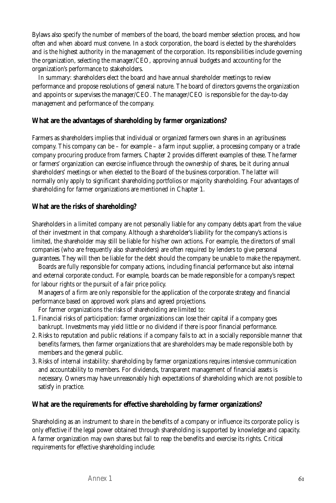Bylaws also specify the number of members of the board, the board member selection process, and how often and when aboard must convene. In a stock corporation, the board is elected by the shareholders and is the highest authority in the management of the corporation. Its responsibilities include governing the organization, selecting the manager/CEO, approving annual budgets and accounting for the organization's performance to stakeholders.

In summary: shareholders elect the board and have annual shareholder meetings to review performance and propose resolutions of general nature. The board of directors governs the organization and appoints or supervises the manager/CEO. The manager/CEO is responsible for the day-to-day management and performance of the company.

#### **What are the advantages of shareholding by farmer organizations?**

Farmers as shareholders implies that individual or organized farmers own shares in an agribusiness company. This company can be – for example – a farm input supplier, a processing company or a trade company procuring produce from farmers. Chapter 2 provides different examples of these. The farmer or farmers' organization can exercise influence through the ownership of shares, be it during annual shareholders' meetings or when elected to the Board of the business corporation. The latter will normally only apply to significant shareholding portfolios or majority shareholding. Four advantages of shareholding for farmer organizations are mentioned in Chapter 1.

#### **What are the risks of shareholding?**

Shareholders in a limited company are not personally liable for any company debts apart from the value of their investment in that company. Although a shareholder's liability for the company's actions is limited, the shareholder may still be liable for his/her own actions. For example, the directors of small companies (who are frequently also shareholders) are often required by lenders to give personal guarantees. They will then be liable for the debt should the company be unable to make the repayment.

Boards are fully responsible for company actions, including financial performance but also internal and external corporate conduct. For example, boards can be made responsible for a company's respect for labour rights or the pursuit of a fair price policy.

Managers of a firm are only responsible for the application of the corporate strategy and financial performance based on approved work plans and agreed projections.

For farmer organizations the risks of shareholding are limited to:

- 1. Financial risks of participation: farmer organizations can lose their capital if a company goes bankrupt. Investments may yield little or no dividend if there is poor financial performance.
- 2. Risks to reputation and public relations: if a company fails to act in a socially responsible manner that benefits farmers, then farmer organizations that are shareholders may be made responsible both by members and the general public.
- 3. Risks of internal instability: shareholding by farmer organizations requires intensive communication and accountability to members. For dividends, transparent management of financial assets is necessary. Owners may have unreasonably high expectations of shareholding which are not possible to satisfy in practice.

#### **What are the requirements for effective shareholding by farmer organizations?**

Shareholding as an instrument to share in the benefits of a company or influence its corporate policy is only effective if the legal power obtained through shareholding is supported by knowledge and capacity. A farmer organization may own shares but fail to reap the benefits and exercise its rights. Critical requirements for effective shareholding include: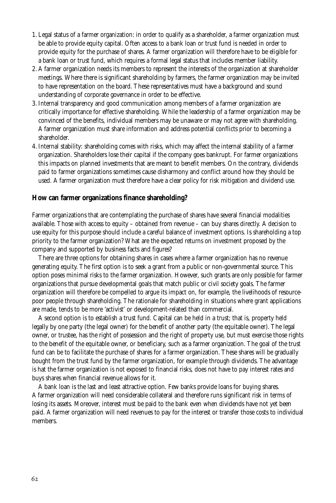- 1. Legal status of a farmer organization: in order to qualify as a shareholder, a farmer organization must be able to provide equity capital. Often access to a bank loan or trust fund is needed in order to provide equity for the purchase of shares. A farmer organization will therefore have to be eligible for a bank loan or trust fund, which requires a formal legal status that includes member liability.
- 2. A farmer organization needs its members to represent the interests of the organization at shareholder meetings. Where there is significant shareholding by farmers, the farmer organization may be invited to have representation on the board. These representatives must have a background and sound understanding of corporate governance in order to be effective.
- 3. Internal transparency and good communication among members of a farmer organization are critically importance for effective shareholding. While the leadership of a farmer organization may be convinced of the benefits, individual members may be unaware or may not agree with shareholding. A farmer organization must share information and address potential conflicts prior to becoming a shareholder.
- 4. Internal stability: shareholding comes with risks, which may affect the internal stability of a farmer organization. Shareholders lose their capital if the company goes bankrupt. For farmer organizations this impacts on planned investments that are meant to benefit members. On the contrary, dividends paid to farmer organizations sometimes cause disharmony and conflict around how they should be used. A farmer organization must therefore have a clear policy for risk mitigation and dividend use.

#### **How can farmer organizations finance shareholding?**

Farmer organizations that are contemplating the purchase of shares have several financial modalities available. Those with access to equity – obtained from revenue – can buy shares directly. A decision to use equity for this purpose should include a careful balance of investment options. Is shareholding a top priority to the farmer organization? What are the expected returns on investment proposed by the company and supported by business facts and figures?

There are three options for obtaining shares in cases where a farmer organization has no revenue generating equity. The first option is to seek a grant from a public or non-governmental source. This option poses minimal risks to the farmer organization. However, such grants are only possible for farmer organizations that pursue developmental goals that match public or civil society goals. The farmer organization will therefore be compelled to argue its impact on, for example, the livelihoods of resourcepoor people through shareholding. The rationale for shareholding in situations where grant applications are made, tends to be more 'activist' or development-related than commercial.

A second option is to establish a trust fund. Capital can be held in a trust; that is, property held legally by one party (the legal owner) for the benefit of another party (the equitable owner). The legal owner, or trustee, has the right of possession and the right of property use, but must exercise those rights to the benefit of the equitable owner, or beneficiary, such as a farmer organization. The goal of the trust fund can be to facilitate the purchase of shares for a farmer organization. These shares will be gradually bought from the trust fund by the farmer organization, for example through dividends. The advantage is hat the farmer organization is not exposed to financial risks, does not have to pay interest rates and buys shares when financial revenue allows for it.

A bank loan is the last and least attractive option. Few banks provide loans for buying shares. A farmer organization will need considerable collateral and therefore runs significant risk in terms of losing its assets. Moreover, interest must be paid to the bank even when dividends have not yet been paid. A farmer organization will need revenues to pay for the interest or transfer those costs to individual members.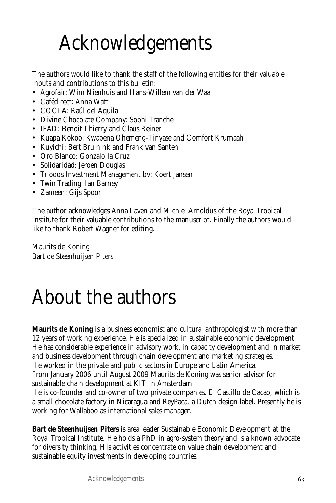## Acknowledgements

The authors would like to thank the staff of the following entities for their valuable inputs and contributions to this bulletin:

- Agrofair: Wim Nienhuis and Hans-Willem van der Waal
- Cafédirect: Anna Watt
- COCLA: Raúl del Aquila
- Divine Chocolate Company: Sophi Tranchel
- IFAD: Benoit Thierry and Claus Reiner
- Kuapa Kokoo: Kwabena Ohemeng-Tinyase and Comfort Krumaah
- Kuyichi: Bert Bruinink and Frank van Santen
- Oro Blanco: Gonzalo la Cruz
- Solidaridad: Jeroen Douglas
- Triodos Investment Management bv: Koert Jansen
- Twin Trading: Ian Barney
- Zameen: Gijs Spoor

The author acknowledges Anna Laven and Michiel Arnoldus of the Royal Tropical Institute for their valuable contributions to the manuscript. Finally the authors would like to thank Robert Wagner for editing.

Maurits de Koning Bart de Steenhuijsen Piters

## About the authors

**Maurits de Koning** is a business economist and cultural anthropologist with more than 12 years of working experience. He is specialized in sustainable economic development. He has considerable experience in advisory work, in capacity development and in market and business development through chain development and marketing strategies. He worked in the private and public sectors in Europe and Latin America.

From January 2006 until August 2009 Maurits de Koning was senior advisor for sustainable chain development at KIT in Amsterdam.

He is co-founder and co-owner of two private companies. El Castillo de Cacao, which is a small chocolate factory in Nicaragua and ReyPaca, a Dutch design label. Presently he is working for Wallaboo as international sales manager.

**Bart de Steenhuijsen Piters** is area leader Sustainable Economic Development at the Royal Tropical Institute. He holds a PhD in agro-system theory and is a known advocate for diversity thinking. His activities concentrate on value chain development and sustainable equity investments in developing countries.